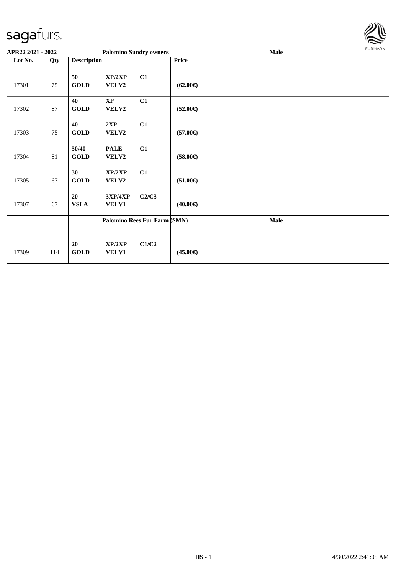

| APR22 2021 - 2022 |     |                      |                                 | <b>Palomino Sundry owners</b> |                   | <b>Male</b> | <b>FURMARK</b> |
|-------------------|-----|----------------------|---------------------------------|-------------------------------|-------------------|-------------|----------------|
| Lot No.<br>Qty    |     | <b>Description</b>   |                                 |                               | Price             |             |                |
| 17301             | 75  | 50<br><b>GOLD</b>    | XP/2XP<br>VELV2                 | C1                            | $(62.00\epsilon)$ |             |                |
| 17302             | 87  | 40<br><b>GOLD</b>    | $\mathbf{X}\mathbf{P}$<br>VELV2 | C1                            | $(52.00\epsilon)$ |             |                |
| 17303             | 75  | 40<br><b>GOLD</b>    | 2XP<br>VELV2                    | C1                            | $(57.00\epsilon)$ |             |                |
| 17304             | 81  | 50/40<br><b>GOLD</b> | <b>PALE</b><br><b>VELV2</b>     | C1                            | $(58.00\epsilon)$ |             |                |
| 17305             | 67  | 30<br><b>GOLD</b>    | XP/2XP<br>VELV2                 | C1                            | $(51.00\epsilon)$ |             |                |
| 17307             | 67  | 20<br><b>VSLA</b>    | 3XP/4XP<br>VELV1                | C2/C3                         | $(40.00\epsilon)$ |             |                |
|                   |     |                      |                                 | Palomino Rees Fur Farm (SMN)  |                   | Male        |                |
| 17309             | 114 | 20<br><b>GOLD</b>    | XP/2XP<br>VELV1                 | C1/C2                         | $(45.00\epsilon)$ |             |                |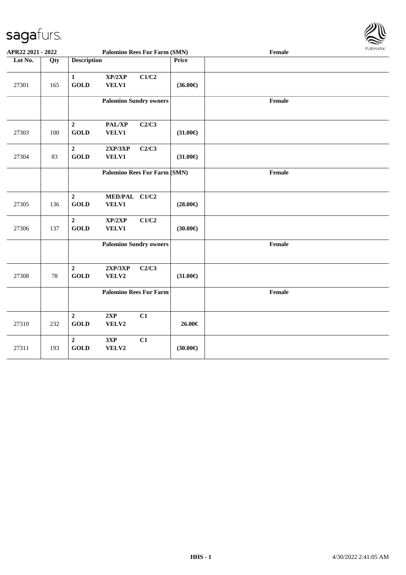

| APR22 2021 - 2022 |     |                                 | <b>Palomino Rees Fur Farm (SMN)</b> |       |                   | Female | <b>FURMARK</b> |
|-------------------|-----|---------------------------------|-------------------------------------|-------|-------------------|--------|----------------|
| Lot No.           | Qty | <b>Description</b>              |                                     |       | Price             |        |                |
| 27301             | 165 | $\mathbf{1}$<br><b>GOLD</b>     | XP/2XP<br>VELV1                     | C1/C2 | $(36.00\epsilon)$ |        |                |
|                   |     |                                 | <b>Palomino Sundry owners</b>       |       |                   | Female |                |
| 27303             | 100 | $\overline{2}$<br><b>GOLD</b>   | PAL/XP<br>VELV1                     | C2/C3 | $(31.00\epsilon)$ |        |                |
| 27304             | 83  | $\boldsymbol{2}$<br><b>GOLD</b> | 2XP/3XP<br>VELV1                    | C2/C3 | $(31.00\epsilon)$ |        |                |
|                   |     |                                 | Palomino Rees Fur Farm (SMN)        |       |                   | Female |                |
| 27305             | 136 | $\mathbf 2$<br><b>GOLD</b>      | MED/PAL C1/C2<br><b>VELV1</b>       |       | $(28.00\epsilon)$ |        |                |
| 27306             | 137 | $\boldsymbol{2}$<br><b>GOLD</b> | XP/2XP<br>VELV1                     | C1/C2 | $(30.00\epsilon)$ |        |                |
|                   |     |                                 | <b>Palomino Sundry owners</b>       |       |                   | Female |                |
| 27308             | 78  | $\mathbf{2}$<br><b>GOLD</b>     | 2XP/3XP<br>VELV2                    | C2/C3 | $(31.00\epsilon)$ |        |                |
|                   |     |                                 | <b>Palomino Rees Fur Farm</b>       |       |                   | Female |                |
| 27310             | 232 | $\boldsymbol{2}$<br><b>GOLD</b> | 2XP<br>VELV2                        | C1    | 26.00€            |        |                |
| 27311             | 193 | $\overline{2}$<br><b>GOLD</b>   | 3XP<br>VELV2                        | C1    | $(30.00\epsilon)$ |        |                |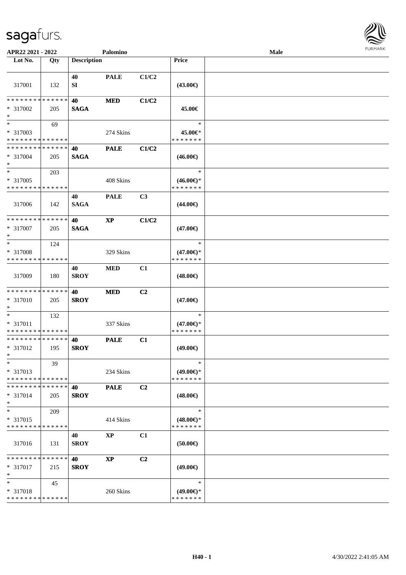

| APR22 2021 - 2022                                 |     |                    | Palomino    |                |                                                | Male |
|---------------------------------------------------|-----|--------------------|-------------|----------------|------------------------------------------------|------|
| Lot No.                                           | Qty | <b>Description</b> |             |                | <b>Price</b>                                   |      |
| 317001                                            | 132 | 40<br>SI           | <b>PALE</b> | C1/C2          | $(43.00\epsilon)$                              |      |
| * * * * * * * * * * * * * *<br>* 317002<br>$*$    | 205 | 40<br><b>SAGA</b>  | <b>MED</b>  | C1/C2          | 45.00€                                         |      |
| $\ast$<br>* 317003<br>* * * * * * * * * * * * * * | 69  |                    | 274 Skins   |                | $\ast$<br>45.00€*<br>* * * * * * *             |      |
| * * * * * * * * * * * * * *<br>* 317004<br>$*$    | 205 | 40<br><b>SAGA</b>  | <b>PALE</b> | C1/C2          | $(46.00\epsilon)$                              |      |
| $*$<br>* 317005<br>* * * * * * * * * * * * * *    | 203 |                    | 408 Skins   |                | $\ast$<br>$(46.00\epsilon)$ *<br>* * * * * * * |      |
| 317006                                            | 142 | 40<br><b>SAGA</b>  | <b>PALE</b> | C <sub>3</sub> | $(44.00\epsilon)$                              |      |
| * * * * * * * * * * * * * *<br>$* 317007$<br>$*$  | 205 | 40<br><b>SAGA</b>  | $\bold{XP}$ | C1/C2          | $(47.00\epsilon)$                              |      |
| $*$<br>* 317008<br>* * * * * * * * * * * * * *    | 124 |                    | 329 Skins   |                | $\ast$<br>$(47.00\epsilon)$ *<br>* * * * * * * |      |
| 317009                                            | 180 | 40<br><b>SROY</b>  | <b>MED</b>  | C1             | $(48.00\epsilon)$                              |      |
| * * * * * * * * * * * * * *<br>* 317010<br>$*$    | 205 | 40<br><b>SROY</b>  | <b>MED</b>  | C <sub>2</sub> | $(47.00\epsilon)$                              |      |
| $*$<br>* 317011<br>* * * * * * * * * * * * * *    | 132 |                    | 337 Skins   |                | $\ast$<br>$(47.00\epsilon)$ *<br>* * * * * * * |      |
| * * * * * * * * * * * * * *<br>* 317012<br>$*$    | 195 | 40<br><b>SROY</b>  | <b>PALE</b> | C1             | $(49.00\epsilon)$                              |      |
| $\ast$<br>* 317013<br>* * * * * * * * * * * * * * | 39  |                    | 234 Skins   |                | $\ast$<br>$(49.00\epsilon)$ *<br>* * * * * * * |      |
| * * * * * * * * * * * * * *<br>$* 317014$<br>$*$  | 205 | 40<br><b>SROY</b>  | <b>PALE</b> | C <sub>2</sub> | $(48.00\epsilon)$                              |      |
| $\ast$<br>* 317015<br>* * * * * * * * * * * * * * | 209 |                    | 414 Skins   |                | $\ast$<br>$(48.00\epsilon)$ *<br>* * * * * * * |      |
| 317016                                            | 131 | 40<br><b>SROY</b>  | <b>XP</b>   | C1             | $(50.00\in)$                                   |      |
| * * * * * * * * * * * * * *<br>* 317017<br>$*$    | 215 | 40<br><b>SROY</b>  | <b>XP</b>   | C <sub>2</sub> | $(49.00\epsilon)$                              |      |
| $\ast$<br>* 317018<br>* * * * * * * * * * * * * * | 45  |                    | 260 Skins   |                | $\ast$<br>$(49.00\epsilon)$ *<br>* * * * * * * |      |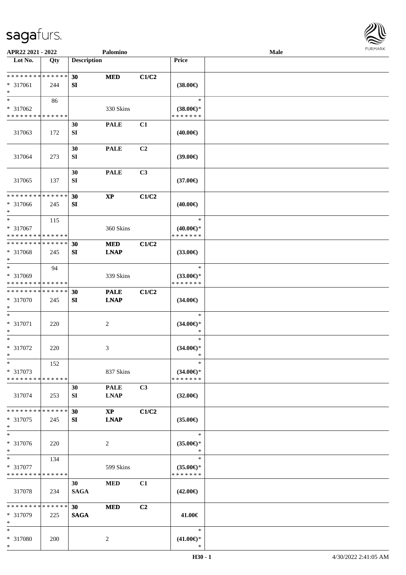\*



| APR22 2021 - 2022                                  |                    |                                | Palomino                              |                |                                                | <b>Male</b> |  |
|----------------------------------------------------|--------------------|--------------------------------|---------------------------------------|----------------|------------------------------------------------|-------------|--|
| Lot No.                                            | Qty                | <b>Description</b>             |                                       |                | Price                                          |             |  |
| ******** <mark>******</mark><br>* 317061<br>$\ast$ | 244                | 30<br>SI                       | <b>MED</b>                            | C1/C2          | $(38.00\epsilon)$                              |             |  |
| $*$<br>* 317062<br>* * * * * * * * * * * * * *     | 86                 |                                | 330 Skins                             |                | $\ast$<br>$(38.00\epsilon)$ *<br>* * * * * * * |             |  |
| 317063                                             | 172                | 30<br>${\bf SI}$               | <b>PALE</b>                           | C1             | $(40.00\epsilon)$                              |             |  |
| 317064                                             | 273                | 30<br>${\bf SI}$               | <b>PALE</b>                           | C2             | (39.00)                                        |             |  |
| 317065                                             | 137                | 30<br>SI                       | <b>PALE</b>                           | C3             | $(37.00\epsilon)$                              |             |  |
| * * * * * * * * * * * * * *<br>* 317066<br>$*$     | 245                | 30<br>SI                       | $\mathbf{X}\mathbf{P}$                | C1/C2          | $(40.00\epsilon)$                              |             |  |
| $*$<br>* 317067<br>* * * * * * * * * * * * * *     | 115                |                                | 360 Skins                             |                | $\ast$<br>$(40.00\epsilon)$ *<br>* * * * * * * |             |  |
| * * * * * * * * * * * * * *<br>* 317068<br>$*$     | 245                | 30<br>SI                       | <b>MED</b><br><b>LNAP</b>             | C1/C2          | $(33.00\epsilon)$                              |             |  |
| $*$<br>* 317069<br>* * * * * * * * * * * * * *     | 94                 |                                | 339 Skins                             |                | $\ast$<br>$(33.00\epsilon)$ *<br>* * * * * * * |             |  |
| * * * * * * * * * * * * * *<br>* 317070<br>$*$     | 245                | 30<br>SI                       | <b>PALE</b><br><b>LNAP</b>            | C1/C2          | $(34.00\epsilon)$                              |             |  |
| $*$<br>* 317071<br>$*$                             | 220                |                                | $\overline{c}$                        |                | $\ast$<br>$(34.00\epsilon)$ *<br>$\ast$        |             |  |
| $*$<br>* 317072<br>$*$                             | 220                |                                | 3                                     |                | $\ast$<br>$(34.00\epsilon)$ *<br>$\ast$        |             |  |
| $*$<br>* 317073<br>* * * * * * * * * * * * * *     | 152                |                                | 837 Skins                             |                | $\ast$<br>$(34.00\epsilon)$ *<br>* * * * * * * |             |  |
| 317074                                             | 253                | 30<br>SI                       | <b>PALE</b><br><b>LNAP</b>            | C3             | $(32.00\epsilon)$                              |             |  |
| * * * * * * * *<br>* 317075<br>$*$                 | * * * * * *<br>245 | 30<br>SI                       | $\mathbf{X}\mathbf{P}$<br><b>LNAP</b> | C1/C2          | $(35.00\epsilon)$                              |             |  |
| $*$<br>* 317076<br>$*$                             | 220                |                                | $\overline{2}$                        |                | $\ast$<br>$(35.00\epsilon)$ *<br>$\ast$        |             |  |
| $*$ $*$<br>* 317077<br>* * * * * * * * * * * * * * | 134                |                                | 599 Skins                             |                | $\ast$<br>$(35.00\epsilon)$ *<br>* * * * * * * |             |  |
| 317078                                             | 234                | 30<br><b>SAGA</b>              | <b>MED</b>                            | C1             | $(42.00\epsilon)$                              |             |  |
| * * * * * * * * * * * * * *<br>* 317079<br>$*$     | 225                | 30 <sup>1</sup><br><b>SAGA</b> | <b>MED</b>                            | C <sub>2</sub> | 41.00€                                         |             |  |
| $*$<br>* 317080<br>$*$                             | 200                |                                | $\overline{c}$                        |                | $\ast$<br>$(41.00\epsilon)$ *<br>$\ast$        |             |  |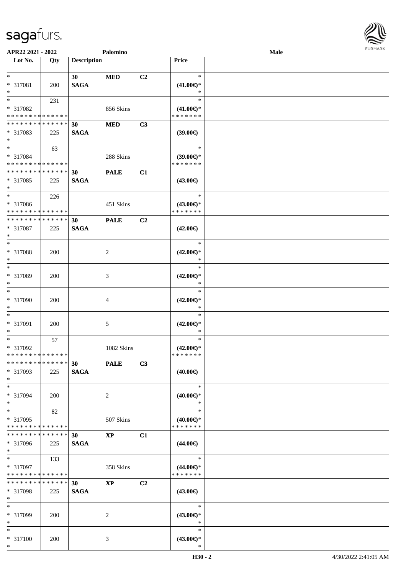

| APR22 2021 - 2022                          |            |                    | Palomino    |                |                     | Male |  |
|--------------------------------------------|------------|--------------------|-------------|----------------|---------------------|------|--|
| Lot No.                                    | Qty        | <b>Description</b> |             |                | Price               |      |  |
|                                            |            |                    |             |                |                     |      |  |
| $*$                                        |            | 30                 | <b>MED</b>  | C <sub>2</sub> | $\ast$              |      |  |
| * 317081                                   | <b>200</b> | <b>SAGA</b>        |             |                | $(41.00\epsilon)$ * |      |  |
| $*$                                        |            |                    |             |                | ∗                   |      |  |
| $*$                                        | 231        |                    |             |                | $\ast$              |      |  |
| * 317082                                   |            |                    | 856 Skins   |                | $(41.00\epsilon)$ * |      |  |
| * * * * * * * * * * * * * *                |            |                    |             |                | * * * * * * *       |      |  |
| ******** <mark>******</mark>               |            | 30                 | <b>MED</b>  | C3             |                     |      |  |
|                                            |            |                    |             |                |                     |      |  |
| * 317083<br>$*$                            | 225        | <b>SAGA</b>        |             |                | $(39.00\epsilon)$   |      |  |
|                                            |            |                    |             |                |                     |      |  |
| $*$                                        | 63         |                    |             |                | $\ast$              |      |  |
| * 317084                                   |            |                    | 288 Skins   |                | $(39.00\epsilon)$ * |      |  |
| * * * * * * * * * * * * * *                |            |                    |             |                | * * * * * * *       |      |  |
| * * * * * * * * * * * * * *                |            | 30                 | <b>PALE</b> | C1             |                     |      |  |
| * 317085                                   | 225        | <b>SAGA</b>        |             |                | $(43.00\epsilon)$   |      |  |
| $*$                                        |            |                    |             |                |                     |      |  |
| $*$                                        | 226        |                    |             |                | $\ast$              |      |  |
| * 317086                                   |            |                    | 451 Skins   |                | $(43.00\epsilon)$ * |      |  |
| * * * * * * * * <mark>* * * * * * *</mark> |            |                    |             |                | * * * * * * *       |      |  |
| * * * * * * * * * * * * * * *              |            | 30                 | <b>PALE</b> | C <sub>2</sub> |                     |      |  |
|                                            |            |                    |             |                |                     |      |  |
| * 317087                                   | 225        | <b>SAGA</b>        |             |                | $(42.00\epsilon)$   |      |  |
| $*$                                        |            |                    |             |                |                     |      |  |
| $*$                                        |            |                    |             |                | $\ast$              |      |  |
| * 317088                                   | 200        |                    | 2           |                | $(42.00\epsilon)$ * |      |  |
| $*$                                        |            |                    |             |                | *                   |      |  |
| $*$                                        |            |                    |             |                | $\ast$              |      |  |
| * 317089                                   | 200        |                    | 3           |                | $(42.00\epsilon)$ * |      |  |
| $*$                                        |            |                    |             |                | *                   |      |  |
| $*$                                        |            |                    |             |                | $\ast$              |      |  |
| * 317090                                   | 200        |                    | 4           |                | $(42.00\epsilon)$ * |      |  |
| $*$                                        |            |                    |             |                | $\ast$              |      |  |
| $*$                                        |            |                    |             |                | $\ast$              |      |  |
|                                            |            |                    |             |                |                     |      |  |
| * 317091                                   | 200        |                    | 5           |                | $(42.00\epsilon)$ * |      |  |
| $*$                                        |            |                    |             |                | $\ast$              |      |  |
| $*$                                        | 57         |                    |             |                | $\ast$              |      |  |
| * 317092                                   |            |                    | 1082 Skins  |                | $(42.00\epsilon)$ * |      |  |
| * * * * * * * * * * * * * * *              |            |                    |             |                | * * * * * * *       |      |  |
| * * * * * * * * * * * * * * *              |            | 30                 | <b>PALE</b> | C3             |                     |      |  |
| * 317093                                   | 225        | <b>SAGA</b>        |             |                | $(40.00\epsilon)$   |      |  |
| $*$                                        |            |                    |             |                |                     |      |  |
| $*$                                        |            |                    |             |                | $\ast$              |      |  |
| * 317094                                   | 200        |                    | 2           |                | $(40.00\epsilon)$ * |      |  |
| $*$                                        |            |                    |             |                | ∗                   |      |  |
|                                            |            |                    |             |                | $\ast$              |      |  |
| $*$                                        | 82         |                    |             |                |                     |      |  |
| * 317095                                   |            |                    | 507 Skins   |                | $(40.00\epsilon)$ * |      |  |
| * * * * * * * * * * * * * *                |            |                    |             |                | * * * * * * *       |      |  |
| * * * * * * * * * * * * * * *              |            | 30                 | <b>XP</b>   | C1             |                     |      |  |
| * 317096                                   | 225        | <b>SAGA</b>        |             |                | $(44.00\epsilon)$   |      |  |
| $*$                                        |            |                    |             |                |                     |      |  |
| $*$ $*$                                    | 133        |                    |             |                | $\ast$              |      |  |
| * 317097                                   |            |                    | 358 Skins   |                | $(44.00\epsilon)$ * |      |  |
| * * * * * * * * * * * * * *                |            |                    |             |                | * * * * * * *       |      |  |
| * * * * * * * * * * * * * * *              |            | 30                 | <b>XP</b>   | C2             |                     |      |  |
|                                            |            |                    |             |                |                     |      |  |
| * 317098                                   | 225        | <b>SAGA</b>        |             |                | $(43.00\epsilon)$   |      |  |
| $*$                                        |            |                    |             |                |                     |      |  |
| $*$                                        |            |                    |             |                | $\ast$              |      |  |
| * 317099                                   | <b>200</b> |                    | 2           |                | $(43.00\epsilon)$ * |      |  |
| $*$                                        |            |                    |             |                | $\ast$              |      |  |
| $*$                                        |            |                    |             |                | $\ast$              |      |  |
| * 317100                                   | 200        |                    | 3           |                | $(43.00\epsilon)$ * |      |  |
| $*$                                        |            |                    |             |                | $\ast$              |      |  |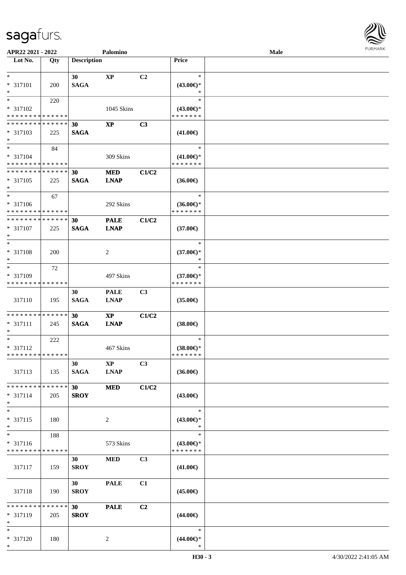

| APR22 2021 - 2022           |             |                    | Palomino      |                |                                      | <b>Male</b> |  |
|-----------------------------|-------------|--------------------|---------------|----------------|--------------------------------------|-------------|--|
| Lot No.                     | Qty         | <b>Description</b> |               |                | Price                                |             |  |
|                             |             |                    |               |                |                                      |             |  |
| $*$                         |             | 30                 | $\bold{XP}$   | C2             | $\ast$                               |             |  |
| * 317101                    | 200         | <b>SAGA</b>        |               |                | $(43.00\epsilon)$ *                  |             |  |
| $*$                         |             |                    |               |                | ∗                                    |             |  |
| $*$                         | 220         |                    |               |                | $\ast$                               |             |  |
| * 317102                    |             |                    | 1045 Skins    |                |                                      |             |  |
| * * * * * * * * * * * * * * |             |                    |               |                | $(43.00€)$ *<br>* * * * * * *        |             |  |
|                             |             |                    |               |                |                                      |             |  |
| * * * * * * * * * * * * * * |             | 30                 | <b>XP</b>     | C <sub>3</sub> |                                      |             |  |
| * 317103                    | 225         | <b>SAGA</b>        |               |                | $(41.00\epsilon)$                    |             |  |
| $*$                         |             |                    |               |                |                                      |             |  |
| $*$                         | 84          |                    |               |                | $\ast$                               |             |  |
| * 317104                    |             |                    | 309 Skins     |                | $(41.00\epsilon)$ *                  |             |  |
| * * * * * * * * * * * * * * |             |                    |               |                | * * * * * * *                        |             |  |
| * * * * * * * * * * * * * * |             | 30                 | <b>MED</b>    | C1/C2          |                                      |             |  |
| * 317105                    | 225         | <b>SAGA</b>        | <b>LNAP</b>   |                | $(36.00\epsilon)$                    |             |  |
| $\ast$                      |             |                    |               |                |                                      |             |  |
| $*$                         | 67          |                    |               |                | $\ast$                               |             |  |
| * 317106                    |             |                    | 292 Skins     |                |                                      |             |  |
| * * * * * * * * * * * * * * |             |                    |               |                | $(36.00\epsilon)$ *<br>* * * * * * * |             |  |
|                             |             |                    |               |                |                                      |             |  |
| * * * * * * * * * * * * * * |             | 30                 | <b>PALE</b>   | C1/C2          |                                      |             |  |
| * 317107                    | 225         | <b>SAGA</b>        | <b>LNAP</b>   |                | $(37.00\epsilon)$                    |             |  |
| $*$                         |             |                    |               |                |                                      |             |  |
| $*$                         |             |                    |               |                | $\ast$                               |             |  |
| * 317108                    | 200         |                    | 2             |                | $(37.00\epsilon)$ *                  |             |  |
| $*$                         |             |                    |               |                | ∗                                    |             |  |
| $*$                         | 72          |                    |               |                | $\ast$                               |             |  |
| * 317109                    |             |                    | 497 Skins     |                | $(37.00\epsilon)$ *                  |             |  |
| * * * * * * * * * * * * * * |             |                    |               |                | * * * * * * *                        |             |  |
|                             |             |                    |               |                |                                      |             |  |
|                             |             | 30                 | <b>PALE</b>   | C <sub>3</sub> |                                      |             |  |
| 317110                      | 195         | <b>SAGA</b>        | <b>LNAP</b>   |                | $(35.00\epsilon)$                    |             |  |
|                             |             |                    |               |                |                                      |             |  |
| * * * * * * * * * * * * * * |             | 30                 | $\mathbf{XP}$ | C1/C2          |                                      |             |  |
| * 317111                    | 245         | <b>SAGA</b>        | <b>LNAP</b>   |                | $(38.00\in)$                         |             |  |
| $\ast$                      |             |                    |               |                |                                      |             |  |
| $*$                         | 222         |                    |               |                | $\ast$                               |             |  |
| $* 317112$                  |             |                    | 467 Skins     |                | $(38.00\epsilon)$ *                  |             |  |
| * * * * * * * * * * * * * * |             |                    |               |                | * * * * * * *                        |             |  |
|                             |             | 30                 | <b>XP</b>     | C3             |                                      |             |  |
| 317113                      | 135         | <b>SAGA</b>        | <b>LNAP</b>   |                | $(36.00\epsilon)$                    |             |  |
|                             |             |                    |               |                |                                      |             |  |
|                             |             |                    |               |                |                                      |             |  |
| * * * * * * * * * * * * * * |             | 30                 | <b>MED</b>    | C1/C2          |                                      |             |  |
| * 317114                    | 205         | <b>SROY</b>        |               |                | $(43.00\epsilon)$                    |             |  |
| $*$                         |             |                    |               |                |                                      |             |  |
| $*$                         |             |                    |               |                | $\ast$                               |             |  |
| * 317115                    | 180         |                    | 2             |                | $(43.00\epsilon)$ *                  |             |  |
| $*$                         |             |                    |               |                | $\ast$                               |             |  |
| $\overline{\ast}$           | 188         |                    |               |                | $\ast$                               |             |  |
| * 317116                    |             |                    | 573 Skins     |                | $(43.00\epsilon)$ *                  |             |  |
| * * * * * * * *             | * * * * * * |                    |               |                | * * * * * * *                        |             |  |
|                             |             |                    |               |                |                                      |             |  |
|                             |             | 30                 | <b>MED</b>    | C3             |                                      |             |  |
| 317117                      | 159         | <b>SROY</b>        |               |                | $(41.00\epsilon)$                    |             |  |
|                             |             |                    |               |                |                                      |             |  |
|                             |             | 30                 | <b>PALE</b>   | C1             |                                      |             |  |
| 317118                      | 190         | <b>SROY</b>        |               |                | $(45.00\epsilon)$                    |             |  |
|                             |             |                    |               |                |                                      |             |  |
| * * * * * * * *             | * * * * * * | 30 <sup>°</sup>    | <b>PALE</b>   | C2             |                                      |             |  |
| * 317119                    | 205         | <b>SROY</b>        |               |                | $(44.00\epsilon)$                    |             |  |
| $*$                         |             |                    |               |                |                                      |             |  |
| $*$                         |             |                    |               |                | $\ast$                               |             |  |
| * 317120                    | 180         |                    | 2             |                | $(44.00ε)$ *                         |             |  |
| $*$                         |             |                    |               |                | $\ast$                               |             |  |
|                             |             |                    |               |                |                                      |             |  |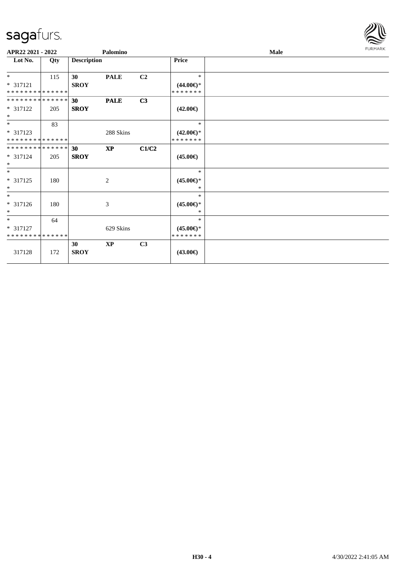

| APR22 2021 - 2022                                |     |                    | Palomino      |                |                                          | Male | <b>FURMARK</b> |
|--------------------------------------------------|-----|--------------------|---------------|----------------|------------------------------------------|------|----------------|
| Lot No.                                          | Qty | <b>Description</b> |               |                | <b>Price</b>                             |      |                |
| $*$<br>$* 317121$<br>* * * * * * * * * * * * * * | 115 | 30<br><b>SROY</b>  | <b>PALE</b>   | C <sub>2</sub> | $\ast$<br>$(44.00\epsilon)$ *<br>******* |      |                |
| **************<br>* 317122<br>$*$                | 205 | 30<br><b>SROY</b>  | <b>PALE</b>   | C3             | $(42.00\epsilon)$                        |      |                |
| $*$<br>* 317123<br>**************                | 83  |                    | 288 Skins     |                | $\ast$<br>$(42.00\epsilon)$ *<br>******* |      |                |
| **************<br>* 317124<br>$\ast$             | 205 | 30<br><b>SROY</b>  | <b>XP</b>     | C1/C2          | $(45.00\epsilon)$                        |      |                |
| $*$<br>$* 317125$<br>$\ast$                      | 180 |                    | 2             |                | $\ast$<br>$(45.00\epsilon)$ *<br>$\ast$  |      |                |
| $\ast$<br>* 317126<br>$\ast$                     | 180 |                    | 3             |                | $\ast$<br>$(45.00\epsilon)$ *<br>$\ast$  |      |                |
| $*$<br>$* 317127$<br>* * * * * * * * * * * * * * | 64  |                    | 629 Skins     |                | $\ast$<br>$(45.00\epsilon)$ *<br>******* |      |                |
| 317128                                           | 172 | 30<br><b>SROY</b>  | $\mathbf{XP}$ | C3             | $(43.00\epsilon)$                        |      |                |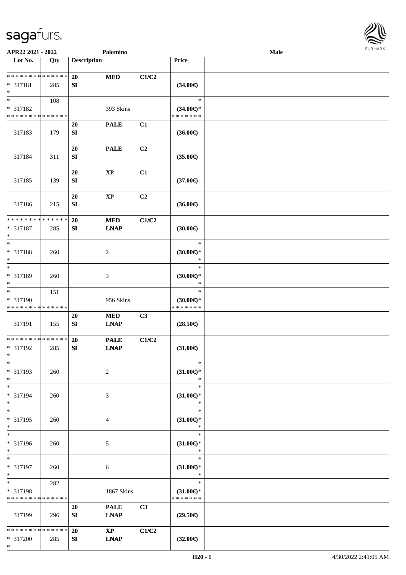

| APR22 2021 - 2022                                                   |                    |                         | Palomino                              |       |                                                | Male |  |
|---------------------------------------------------------------------|--------------------|-------------------------|---------------------------------------|-------|------------------------------------------------|------|--|
| Lot No.                                                             | Qty                | <b>Description</b>      |                                       |       | Price                                          |      |  |
| **************<br>* 317181<br>$\ast$                                | 285                | 20<br>SI                | <b>MED</b>                            | C1/C2 | $(34.00\epsilon)$                              |      |  |
| $\overline{\ast}$<br>* 317182<br>* * * * * * * * * * * * * *        | 108                |                         | 393 Skins                             |       | $\ast$<br>$(34.00\epsilon)$ *<br>* * * * * * * |      |  |
| 317183                                                              | 179                | <b>20</b><br>${\bf SI}$ | <b>PALE</b>                           | C1    | $(36.00\epsilon)$                              |      |  |
| 317184                                                              | 311                | 20<br>${\bf S}{\bf I}$  | <b>PALE</b>                           | C2    | $(35.00\in)$                                   |      |  |
| 317185                                                              | 139                | 20<br>SI                | $\bold{XP}$                           | C1    | $(37.00\epsilon)$                              |      |  |
| 317186                                                              | 215                | 20<br>SI                | $\mathbf{XP}$                         | C2    | $(36.00\epsilon)$                              |      |  |
| ******** <mark>******</mark><br>* 317187<br>$\ast$                  | 285                | 20<br>SI                | <b>MED</b><br><b>LNAP</b>             | C1/C2 | (30.00)                                        |      |  |
| $\ast$<br>* 317188<br>$\ast$                                        | 260                |                         | $\boldsymbol{2}$                      |       | $\ast$<br>$(30.00\epsilon)$ *<br>$\ast$        |      |  |
| $\ast$<br>* 317189<br>$\ast$                                        | 260                |                         | $\mathfrak{Z}$                        |       | $\ast$<br>(30.00)<br>$\ast$                    |      |  |
| $\overline{\phantom{1}}$<br>* 317190<br>* * * * * * * * * * * * * * | 151                |                         | 956 Skins                             |       | $\ast$<br>$(30.00\epsilon)$ *<br>* * * * * * * |      |  |
| 317191                                                              | 155                | $20\,$<br>SI            | <b>MED</b><br><b>LNAP</b>             | C3    | $(28.50\epsilon)$                              |      |  |
| ******** <mark>*****</mark> *<br>* 317192<br>$*$                    | 285                | <b>20</b><br>SI         | <b>PALE</b><br><b>LNAP</b>            | C1/C2 | $(31.00\epsilon)$                              |      |  |
| $*$<br>* 317193<br>$\ast$                                           | 260                |                         | $\sqrt{2}$                            |       | $\ast$<br>$(31.00\epsilon)$ *<br>$\ast$        |      |  |
| $\ast$<br>* 317194<br>$\ast$                                        | 260                |                         | 3                                     |       | $\ast$<br>$(31.00\epsilon)$ *<br>$\ast$        |      |  |
| $\ast$<br>* 317195<br>$\ast$                                        | 260                |                         | 4                                     |       | $\ast$<br>$(31.00\epsilon)$ *<br>$\ast$        |      |  |
| $\ast$<br>* 317196<br>$*$                                           | 260                |                         | 5                                     |       | $\ast$<br>$(31.00\epsilon)$ *<br>$\ast$        |      |  |
| $\ast$<br>* 317197<br>$\ast$                                        | 260                |                         | $\sqrt{6}$                            |       | $\ast$<br>$(31.00\epsilon)$ *<br>$\ast$        |      |  |
| $\ast$<br>* 317198<br>* * * * * * * * * * * * * *                   | 282                |                         | 1867 Skins                            |       | $\ast$<br>$(31.00\epsilon)$ *<br>* * * * * * * |      |  |
| 317199                                                              | 296                | 20<br>SI                | <b>PALE</b><br><b>LNAP</b>            | C3    | $(29.50\epsilon)$                              |      |  |
| * * * * * * * *<br>* 317200<br>$*$                                  | * * * * * *<br>285 | 20<br>SI                | $\mathbf{X}\mathbf{P}$<br><b>LNAP</b> | C1/C2 | $(32.00\epsilon)$                              |      |  |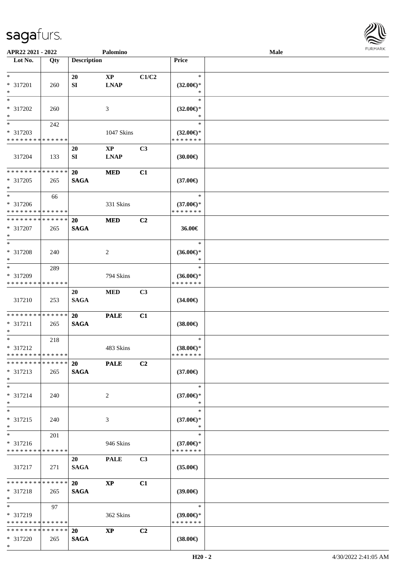

| APR22 2021 - 2022            |             |                    | Palomino                |                |                     | Male |  |
|------------------------------|-------------|--------------------|-------------------------|----------------|---------------------|------|--|
| Lot No.                      | Qty         | <b>Description</b> |                         |                | Price               |      |  |
|                              |             |                    |                         |                |                     |      |  |
| $\ast$                       |             | 20                 | $\mathbf{X}\mathbf{P}$  | C1/C2          | $\ast$              |      |  |
| * 317201                     | 260         | SI                 | <b>LNAP</b>             |                | $(32.00\epsilon)$ * |      |  |
| $\ast$                       |             |                    |                         |                | $\ast$              |      |  |
| $\ast$                       |             |                    |                         |                | $\ast$              |      |  |
|                              |             |                    |                         |                |                     |      |  |
| * 317202                     | 260         |                    | 3                       |                | $(32.00\epsilon)$ * |      |  |
| $\ast$                       |             |                    |                         |                | ∗                   |      |  |
| $\overline{\ast}$            | 242         |                    |                         |                | $\ast$              |      |  |
| * 317203                     |             |                    | 1047 Skins              |                | $(32.00\epsilon)$ * |      |  |
| * * * * * * * * * * * * * *  |             |                    |                         |                | * * * * * * *       |      |  |
|                              |             | 20                 | $\mathbf{X}\mathbf{P}$  | C3             |                     |      |  |
| 317204                       | 133         | SI                 | <b>LNAP</b>             |                | $(30.00\epsilon)$   |      |  |
|                              |             |                    |                         |                |                     |      |  |
| * * * * * * * * * * * * * *  |             | 20                 | <b>MED</b>              | C1             |                     |      |  |
| * 317205                     | 265         | <b>SAGA</b>        |                         |                | $(37.00\epsilon)$   |      |  |
| $\ast$                       |             |                    |                         |                |                     |      |  |
| $\ast$                       | 66          |                    |                         |                | $\ast$              |      |  |
| * 317206                     |             |                    | 331 Skins               |                | $(37.00\epsilon)$ * |      |  |
| * * * * * * * * * * * * * *  |             |                    |                         |                | * * * * * * *       |      |  |
| * * * * * * * * * * * * * *  |             |                    |                         |                |                     |      |  |
|                              |             | 20                 | <b>MED</b>              | C <sub>2</sub> |                     |      |  |
| * 317207                     | 265         | <b>SAGA</b>        |                         |                | 36.00€              |      |  |
| $\ast$                       |             |                    |                         |                |                     |      |  |
| $\ast$                       |             |                    |                         |                | $\ast$              |      |  |
| * 317208                     | 240         |                    | $\overline{2}$          |                | $(36.00\epsilon)$ * |      |  |
| $\ast$                       |             |                    |                         |                | $\ast$              |      |  |
| $\ast$                       | 289         |                    |                         |                | $\ast$              |      |  |
| * 317209                     |             |                    | 794 Skins               |                | $(36.00\epsilon)$ * |      |  |
| * * * * * * * *              | * * * * * * |                    |                         |                | * * * * * * *       |      |  |
|                              |             | 20                 | $\bf MED$               | C3             |                     |      |  |
| 317210                       | 253         | <b>SAGA</b>        |                         |                | $(34.00\epsilon)$   |      |  |
|                              |             |                    |                         |                |                     |      |  |
| * * * * * * * * * * * * * *  |             | <b>20</b>          | <b>PALE</b>             | C1             |                     |      |  |
| * 317211                     | 265         | <b>SAGA</b>        |                         |                | $(38.00\in)$        |      |  |
| $\ast$                       |             |                    |                         |                |                     |      |  |
| $\ast$                       | 218         |                    |                         |                | $\ast$              |      |  |
| * 317212                     |             |                    | 483 Skins               |                | $(38.00\epsilon)$ * |      |  |
| **************               |             |                    |                         |                | *******             |      |  |
| * * * * * * * * * * * * * *  |             |                    |                         |                |                     |      |  |
|                              |             |                    | 20 PALE                 | C2             |                     |      |  |
| $* 317213$                   | 265         | <b>SAGA</b>        |                         |                | $(37.00\epsilon)$   |      |  |
| $*$                          |             |                    |                         |                |                     |      |  |
| $*$                          |             |                    |                         |                | $\ast$              |      |  |
| $* 317214$                   | 240         |                    | 2                       |                | $(37.00\epsilon)$ * |      |  |
| $\ast$                       |             |                    |                         |                | $\ast$              |      |  |
| $\ast$                       |             |                    |                         |                | $\ast$              |      |  |
| * 317215                     | 240         |                    | 3                       |                | $(37.00\epsilon)$ * |      |  |
| $\ast$                       |             |                    |                         |                | $\ast$              |      |  |
| $\ast$                       | 201         |                    |                         |                | $\ast$              |      |  |
| $* 317216$                   |             |                    | 946 Skins               |                | $(37.00\epsilon)$ * |      |  |
| * * * * * * * * * * * * * *  |             |                    |                         |                | * * * * * * *       |      |  |
|                              |             | 20                 | <b>PALE</b>             | C3             |                     |      |  |
| 317217                       | 271         | <b>SAGA</b>        |                         |                | $(35.00\epsilon)$   |      |  |
|                              |             |                    |                         |                |                     |      |  |
| ******** <mark>******</mark> |             | 20                 | $\mathbf{X} \mathbf{P}$ | C1             |                     |      |  |
| * 317218                     | 265         | <b>SAGA</b>        |                         |                | $(39.00\epsilon)$   |      |  |
| $*$                          |             |                    |                         |                |                     |      |  |
| $\ast$                       | 97          |                    |                         |                | $\ast$              |      |  |
| $*317219$                    |             |                    | 362 Skins               |                | (39.00)             |      |  |
| * * * * * * * * * * * * * *  |             |                    |                         |                | * * * * * * *       |      |  |
| * * * * * * * * * * * * * *  |             | 20                 | <b>XP</b>               | C2             |                     |      |  |
|                              |             |                    |                         |                |                     |      |  |
| $* 317220$                   | 265         | <b>SAGA</b>        |                         |                | $(38.00\epsilon)$   |      |  |
| $*$                          |             |                    |                         |                |                     |      |  |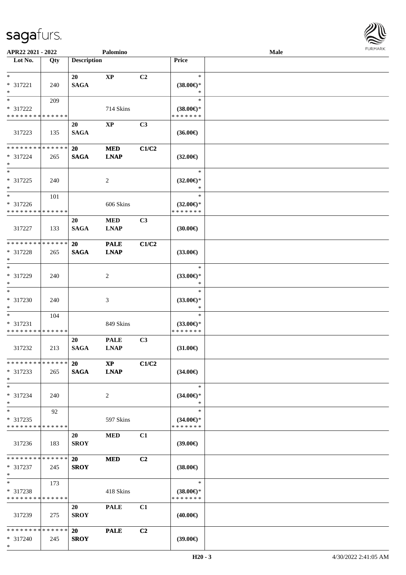

| APR22 2021 - 2022             |             |                    | Palomino       |                |                               | <b>Male</b> |  |
|-------------------------------|-------------|--------------------|----------------|----------------|-------------------------------|-------------|--|
| Lot No.                       | Qty         | <b>Description</b> |                |                | Price                         |             |  |
|                               |             |                    |                |                |                               |             |  |
| $*$                           |             | 20                 | $\bold{XP}$    | C2             | $\ast$                        |             |  |
| * 317221<br>$*$               | 240         | <b>SAGA</b>        |                |                | $(38.00\epsilon)$ *<br>$\ast$ |             |  |
| $*$                           | 209         |                    |                |                | $\ast$                        |             |  |
| * 317222                      |             |                    | 714 Skins      |                | $(38.00\epsilon)$ *           |             |  |
| * * * * * * * * * * * * * *   |             |                    |                |                | * * * * * * *                 |             |  |
|                               |             | 20                 | <b>XP</b>      | C <sub>3</sub> |                               |             |  |
| 317223                        | 135         | <b>SAGA</b>        |                |                | $(36.00\epsilon)$             |             |  |
|                               |             |                    |                |                |                               |             |  |
| * * * * * * * * * * * * * *   |             | 20                 | <b>MED</b>     | C1/C2          |                               |             |  |
| * 317224                      | 265         | <b>SAGA</b>        | <b>LNAP</b>    |                | $(32.00\epsilon)$             |             |  |
| $*$                           |             |                    |                |                |                               |             |  |
| $*$                           |             |                    |                |                | $\ast$                        |             |  |
| * 317225                      | 240         |                    | $\overline{c}$ |                | $(32.00\epsilon)$ *           |             |  |
| $\ast$<br>$*$                 |             |                    |                |                | $\ast$<br>$\ast$              |             |  |
| * 317226                      | 101         |                    | 606 Skins      |                | $(32.00\epsilon)$ *           |             |  |
| * * * * * * * * * * * * * *   |             |                    |                |                | * * * * * * *                 |             |  |
|                               |             | 20                 | <b>MED</b>     | C3             |                               |             |  |
| 317227                        | 133         | <b>SAGA</b>        | <b>LNAP</b>    |                | (30.00)                       |             |  |
|                               |             |                    |                |                |                               |             |  |
| * * * * * * * *               | * * * * * * | <b>20</b>          | <b>PALE</b>    | C1/C2          |                               |             |  |
| * 317228                      | 265         | <b>SAGA</b>        | <b>LNAP</b>    |                | $(33.00\epsilon)$             |             |  |
| $*$                           |             |                    |                |                |                               |             |  |
| $*$                           |             |                    |                |                | $\ast$                        |             |  |
| $* 317229$                    | 240         |                    | 2              |                | $(33.00\epsilon)$ *           |             |  |
| $*$<br>$*$                    |             |                    |                |                | $\ast$<br>$\ast$              |             |  |
| $* 317230$                    | 240         |                    | 3              |                |                               |             |  |
| $*$                           |             |                    |                |                | $(33.00\epsilon)$ *<br>$\ast$ |             |  |
| $*$                           | 104         |                    |                |                | $\ast$                        |             |  |
| * 317231                      |             |                    | 849 Skins      |                | $(33.00\epsilon)$ *           |             |  |
| * * * * * * * * * * * * * *   |             |                    |                |                | * * * * * * *                 |             |  |
|                               |             | 20                 | <b>PALE</b>    | C3             |                               |             |  |
| 317232                        | 213         | <b>SAGA</b>        | <b>LNAP</b>    |                | $(31.00\epsilon)$             |             |  |
|                               |             |                    |                |                |                               |             |  |
| * * * * * * * * * * * * * * * |             | <b>20</b>          | <b>XP</b>      | C1/C2          |                               |             |  |
| * 317233<br>$*$               | 265         | <b>SAGA</b>        | <b>LNAP</b>    |                | $(34.00\epsilon)$             |             |  |
| $*$                           |             |                    |                |                | $\ast$                        |             |  |
| * 317234                      | 240         |                    | $\overline{2}$ |                | $(34.00\epsilon)$ *           |             |  |
| $*$                           |             |                    |                |                | $\ast$                        |             |  |
| $*$                           | 92          |                    |                |                | $\ast$                        |             |  |
| * 317235                      |             |                    | 597 Skins      |                | $(34.00\epsilon)$ *           |             |  |
| * * * * * * * * * * * * * *   |             |                    |                |                | * * * * * * *                 |             |  |
|                               |             | 20                 | <b>MED</b>     | C1             |                               |             |  |
| 317236                        | 183         | <b>SROY</b>        |                |                | $(39.00\epsilon)$             |             |  |
|                               |             |                    |                |                |                               |             |  |
| * * * * * * * * * * * * * * * |             | 20                 | <b>MED</b>     | C2             |                               |             |  |
| * 317237<br>$*$               | 245         | <b>SROY</b>        |                |                | $(38.00\in)$                  |             |  |
| $*$                           | 173         |                    |                |                | $\ast$                        |             |  |
| * 317238                      |             |                    | 418 Skins      |                | $(38.00\epsilon)$ *           |             |  |
| * * * * * * * * * * * * * *   |             |                    |                |                | * * * * * * *                 |             |  |
|                               |             | 20                 | <b>PALE</b>    | C1             |                               |             |  |
| 317239                        | 275         | <b>SROY</b>        |                |                | $(40.00\epsilon)$             |             |  |
|                               |             |                    |                |                |                               |             |  |
| * * * * * * * * * * * * * * * |             | <b>20</b>          | <b>PALE</b>    | C <sub>2</sub> |                               |             |  |
| $* 317240$                    | 245         | <b>SROY</b>        |                |                | (39.00)                       |             |  |
| $*$                           |             |                    |                |                |                               |             |  |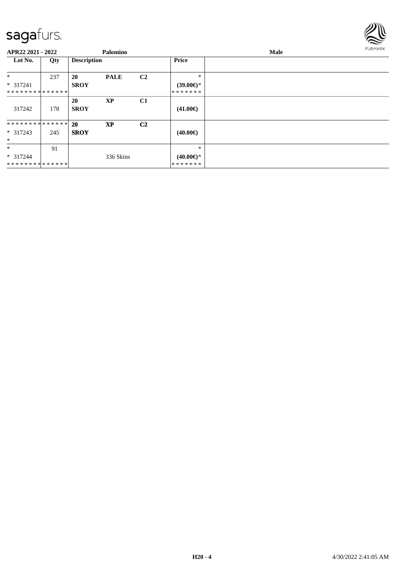

| APR22 2021 - 2022             |     |                    | Palomino    |                |                           | Male |  |  |  |  |
|-------------------------------|-----|--------------------|-------------|----------------|---------------------------|------|--|--|--|--|
| Lot No.                       | Qty | <b>Description</b> |             |                | Price                     |      |  |  |  |  |
| $\ast$                        | 237 | <b>20</b>          | <b>PALE</b> | C <sub>2</sub> | $\ast$                    |      |  |  |  |  |
| $* 317241$                    |     | <b>SROY</b>        |             |                | $(39.00\epsilon)$ *       |      |  |  |  |  |
| **************                |     |                    |             |                | *******                   |      |  |  |  |  |
|                               |     | <b>20</b>          | <b>XP</b>   | C1             |                           |      |  |  |  |  |
| 317242                        | 178 | <b>SROY</b>        |             |                | $(41.00\epsilon)$         |      |  |  |  |  |
| * * * * * * * * * * * * * * * |     | <b>20</b>          | <b>XP</b>   | C <sub>2</sub> |                           |      |  |  |  |  |
| $* 317243$                    | 245 | <b>SROY</b>        |             |                | $(40.00\epsilon)$         |      |  |  |  |  |
| $\ast$                        |     |                    |             |                |                           |      |  |  |  |  |
| $\ast$                        | 91  |                    |             |                | $\ast$                    |      |  |  |  |  |
| $* 317244$                    |     |                    | 336 Skins   |                | $(40.00 \in \mathcal{F})$ |      |  |  |  |  |
| * * * * * * * * * * * * * *   |     |                    |             |                | *******                   |      |  |  |  |  |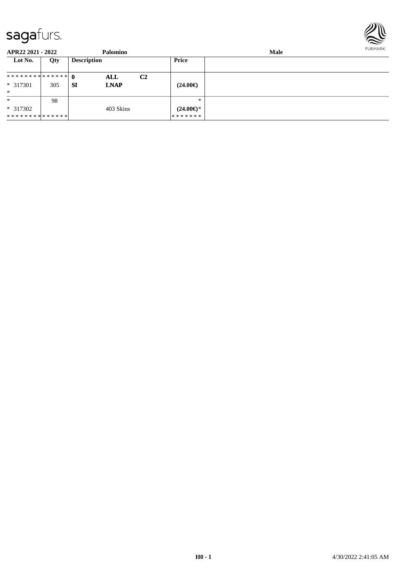

| APR22 2021 - 2022 |     | Palomino                 |                |                     | FURMARK |  |
|-------------------|-----|--------------------------|----------------|---------------------|---------|--|
| Lot No.           | Qty | <b>Description</b>       |                | Price               |         |  |
| ************** 0  |     | ALL                      | C <sub>2</sub> |                     |         |  |
| $* 317301$        | 305 | <b>SI</b><br><b>LNAP</b> |                | $(24.00\epsilon)$   |         |  |
| $\ast$            |     |                          |                |                     |         |  |
| $\ast$            | 98  |                          |                | $*$                 |         |  |
| $*317302$         |     | 403 Skins                |                | $(24.00\epsilon)$ * |         |  |
| **************    |     |                          |                | * * * * * * *       |         |  |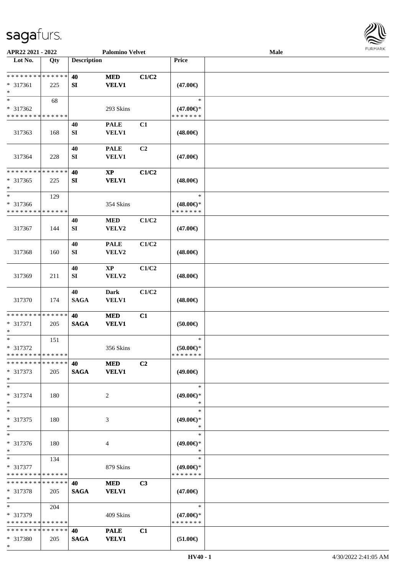\*



| APR22 2021 - 2022                       |     |                    | <b>Palomino Velvet</b>      |       |                                      | Male |  |
|-----------------------------------------|-----|--------------------|-----------------------------|-------|--------------------------------------|------|--|
| Lot No.                                 | Qty | <b>Description</b> |                             |       | Price                                |      |  |
|                                         |     |                    |                             |       |                                      |      |  |
| **************                          |     | 40                 | <b>MED</b>                  | C1/C2 |                                      |      |  |
| * 317361<br>$\ast$                      | 225 | SI                 | <b>VELV1</b>                |       | $(47.00\epsilon)$                    |      |  |
| $\ast$                                  | 68  |                    |                             |       | $\ast$                               |      |  |
| * 317362                                |     |                    | 293 Skins                   |       | $(47.00\epsilon)$ *                  |      |  |
| * * * * * * * * * * * * * *             |     |                    |                             |       | * * * * * * *                        |      |  |
|                                         |     | 40                 | <b>PALE</b>                 | C1    |                                      |      |  |
| 317363                                  | 168 | SI                 | VELV1                       |       | $(48.00\epsilon)$                    |      |  |
|                                         |     |                    |                             |       |                                      |      |  |
| 317364                                  | 228 | 40<br>${\bf SI}$   | <b>PALE</b><br><b>VELV1</b> | C2    | $(47.00\epsilon)$                    |      |  |
|                                         |     |                    |                             |       |                                      |      |  |
| * * * * * * * * * * * * * *             |     | 40                 | $\mathbf{XP}$               | C1/C2 |                                      |      |  |
| $* 317365$                              | 225 | SI                 | <b>VELV1</b>                |       | $(48.00\epsilon)$                    |      |  |
| $\ast$                                  |     |                    |                             |       |                                      |      |  |
| $\ast$                                  | 129 |                    |                             |       | $\ast$                               |      |  |
| * 317366<br>* * * * * * * * * * * * * * |     |                    | 354 Skins                   |       | $(48.00\epsilon)$ *<br>* * * * * * * |      |  |
|                                         |     | 40                 | $\bf MED$                   | C1/C2 |                                      |      |  |
| 317367                                  | 144 | SI                 | VELV2                       |       | $(47.00\epsilon)$                    |      |  |
|                                         |     |                    |                             |       |                                      |      |  |
|                                         |     | 40                 | <b>PALE</b>                 | C1/C2 |                                      |      |  |
| 317368                                  | 160 | SI                 | VELV2                       |       | $(48.00\epsilon)$                    |      |  |
|                                         |     |                    |                             |       |                                      |      |  |
|                                         |     | 40                 | $\mathbf{X}\mathbf{P}$      | C1/C2 |                                      |      |  |
| 317369                                  | 211 | SI                 | VELV2                       |       | $(48.00\epsilon)$                    |      |  |
|                                         |     | 40                 | <b>Dark</b>                 | C1/C2 |                                      |      |  |
| 317370                                  | 174 | <b>SAGA</b>        | <b>VELV1</b>                |       | $(48.00\epsilon)$                    |      |  |
|                                         |     |                    |                             |       |                                      |      |  |
| **************                          |     | 40                 | <b>MED</b>                  | C1    |                                      |      |  |
| * 317371<br>$\ast$                      | 205 | <b>SAGA</b>        | <b>VELV1</b>                |       | (50.00)                              |      |  |
| $\ast$                                  | 151 |                    |                             |       | $\ast$                               |      |  |
| * 317372                                |     |                    | 356 Skins                   |       | $(50.00 \in )^*$                     |      |  |
| **************                          |     |                    |                             |       | * * * * * * *                        |      |  |
| * * * * * * * * * * * * * *             |     | 40                 | <b>MED</b>                  | C2    |                                      |      |  |
| $* 317373$                              | 205 | <b>SAGA</b>        | <b>VELV1</b>                |       | $(49.00\epsilon)$                    |      |  |
| $*$<br>$*$                              |     |                    |                             |       | $\ast$                               |      |  |
| * 317374                                | 180 |                    | 2                           |       | $(49.00\epsilon)$ *                  |      |  |
| $\ast$                                  |     |                    |                             |       | ∗                                    |      |  |
| $\ast$                                  |     |                    |                             |       | $\ast$                               |      |  |
| * 317375                                | 180 |                    | 3                           |       | $(49.00\epsilon)$ *                  |      |  |
| $\ast$                                  |     |                    |                             |       | *                                    |      |  |
| $\ast$                                  |     |                    |                             |       | $\ast$                               |      |  |
| * 317376<br>$*$                         | 180 |                    | 4                           |       | $(49.00\epsilon)$ *<br>$\ast$        |      |  |
| $*$                                     | 134 |                    |                             |       | $\ast$                               |      |  |
| * 317377                                |     |                    | 879 Skins                   |       | $(49.00\epsilon)$ *                  |      |  |
| * * * * * * * * * * * * * *             |     |                    |                             |       | * * * * * * *                        |      |  |
| * * * * * * * * * * * * * *             |     | 40                 | <b>MED</b>                  | C3    |                                      |      |  |
| * 317378                                | 205 | <b>SAGA</b>        | <b>VELV1</b>                |       | $(47.00\epsilon)$                    |      |  |
| $*$<br>$*$                              |     |                    |                             |       | $\ast$                               |      |  |
| * 317379                                | 204 |                    | 409 Skins                   |       | $(47.00\epsilon)$ *                  |      |  |
| * * * * * * * * * * * * * *             |     |                    |                             |       | * * * * * * *                        |      |  |
| * * * * * * * * * * * * * *             |     | 40                 | <b>PALE</b>                 | C1    |                                      |      |  |
| * 317380                                | 205 | <b>SAGA</b>        | <b>VELV1</b>                |       | $(51.00\epsilon)$                    |      |  |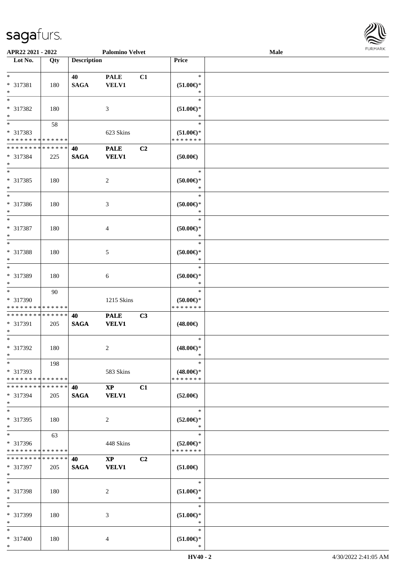

| APR22 2021 - 2022                |     |                    | <b>Palomino Velvet</b> |                |                               | Male | 1.91111111 |
|----------------------------------|-----|--------------------|------------------------|----------------|-------------------------------|------|------------|
| $\overline{\phantom{1}}$ Lot No. | Qty | <b>Description</b> |                        |                | Price                         |      |            |
|                                  |     |                    |                        |                |                               |      |            |
| $\ast$                           |     | 40                 | <b>PALE</b>            | C1             | $\ast$                        |      |            |
| * 317381                         | 180 | <b>SAGA</b>        | <b>VELV1</b>           |                | $(51.00\epsilon)$ *           |      |            |
| $\ast$                           |     |                    |                        |                | *                             |      |            |
| $\ast$                           |     |                    |                        |                | $\ast$                        |      |            |
| * 317382                         | 180 |                    | 3                      |                | $(51.00\epsilon)$ *           |      |            |
| $\ast$                           |     |                    |                        |                | $\ast$                        |      |            |
|                                  |     |                    |                        |                |                               |      |            |
| $\ast$                           | 58  |                    |                        |                | $\ast$                        |      |            |
| * 317383                         |     |                    | 623 Skins              |                | $(51.00\epsilon)$ *           |      |            |
| * * * * * * * * * * * * * *      |     |                    |                        |                | * * * * * * *                 |      |            |
| * * * * * * * * * * * * * *      |     | 40                 | <b>PALE</b>            | C <sub>2</sub> |                               |      |            |
| * 317384                         | 225 | <b>SAGA</b>        | <b>VELV1</b>           |                | (50.00)                       |      |            |
| $\ast$                           |     |                    |                        |                |                               |      |            |
| $\overline{\phantom{1}}$         |     |                    |                        |                | $\ast$                        |      |            |
| * 317385                         | 180 |                    | $\boldsymbol{2}$       |                | $(50.00\in)^\ast$             |      |            |
| $\ast$                           |     |                    |                        |                | $\ast$                        |      |            |
| $*$                              |     |                    |                        |                | $\ast$                        |      |            |
|                                  |     |                    |                        |                |                               |      |            |
| * 317386                         | 180 |                    | 3                      |                | $(50.00ε)$ *                  |      |            |
| $\ast$<br>$\overline{\ast}$      |     |                    |                        |                | $\ast$                        |      |            |
|                                  |     |                    |                        |                | $\ast$                        |      |            |
| * 317387                         | 180 |                    | $\overline{4}$         |                | $(50.00ε)$ *                  |      |            |
| $\ast$                           |     |                    |                        |                | $\ast$                        |      |            |
| $\overline{\phantom{1}}$         |     |                    |                        |                | $\ast$                        |      |            |
| * 317388                         | 180 |                    | 5                      |                | $(50.00ε)$ *                  |      |            |
| $\ast$                           |     |                    |                        |                | $\ast$                        |      |            |
| $\ast$                           |     |                    |                        |                | $\ast$                        |      |            |
| * 317389                         | 180 |                    | $\sqrt{6}$             |                | $(50.00ε)$ *                  |      |            |
| $\ast$                           |     |                    |                        |                | $\ast$                        |      |            |
| $\ast$                           |     |                    |                        |                | $\ast$                        |      |            |
|                                  | 90  |                    |                        |                |                               |      |            |
| * 317390                         |     |                    | 1215 Skins             |                | $(50.00\epsilon)$ *           |      |            |
| * * * * * * * * * * * * * *      |     |                    |                        |                | * * * * * * *                 |      |            |
| **************                   |     | 40                 | <b>PALE</b>            | C <sub>3</sub> |                               |      |            |
| * 317391                         | 205 | $\mathbf{SAGA}$    | <b>VELV1</b>           |                | $(48.00\epsilon)$             |      |            |
| $\ast$                           |     |                    |                        |                |                               |      |            |
| $*$                              |     |                    |                        |                | $\ast$                        |      |            |
| $* 317392$                       | 180 |                    | $\sqrt{2}$             |                | $(48.00\epsilon)$ *           |      |            |
| $*$                              |     |                    |                        |                | ∗                             |      |            |
| $\ast$                           | 198 |                    |                        |                | $\ast$                        |      |            |
| * 317393                         |     |                    | 583 Skins              |                | $(48.00\epsilon)$ *           |      |            |
| * * * * * * * * * * * * * *      |     |                    |                        |                | * * * * * * *                 |      |            |
| * * * * * * * * * * * * * *      |     | 40                 | $\mathbf{XP}$          | C1             |                               |      |            |
|                                  |     |                    | <b>VELV1</b>           |                | $(52.00\epsilon)$             |      |            |
| * 317394<br>$*$                  | 205 | <b>SAGA</b>        |                        |                |                               |      |            |
| $\ast$                           |     |                    |                        |                | $\ast$                        |      |            |
|                                  |     |                    |                        |                |                               |      |            |
| * 317395                         | 180 |                    | $\overline{2}$         |                | $(52.00\epsilon)$ *           |      |            |
| $\ast$                           |     |                    |                        |                | $\ast$                        |      |            |
| $\ast$                           | 63  |                    |                        |                | $\ast$                        |      |            |
| * 317396                         |     |                    | 448 Skins              |                | $(52.00\epsilon)$ *           |      |            |
| * * * * * * * * * * * * * *      |     |                    |                        |                | * * * * * * *                 |      |            |
| * * * * * * * * * * * * * *      |     | 40                 | $\mathbf{XP}$          | C <sub>2</sub> |                               |      |            |
| * 317397                         | 205 | <b>SAGA</b>        | <b>VELV1</b>           |                | $(51.00\epsilon)$             |      |            |
| $*$                              |     |                    |                        |                |                               |      |            |
| $*$                              |     |                    |                        |                | $\ast$                        |      |            |
| * 317398                         | 180 |                    | $\sqrt{2}$             |                | $(51.00\epsilon)$ *           |      |            |
| $\ast$                           |     |                    |                        |                | $\ast$                        |      |            |
| $\ast$                           |     |                    |                        |                | $\ast$                        |      |            |
| * 317399                         |     |                    |                        |                |                               |      |            |
| $\ast$                           | 180 |                    | 3                      |                | $(51.00\epsilon)$ *<br>$\ast$ |      |            |
| $\ast$                           |     |                    |                        |                | $\ast$                        |      |            |
|                                  |     |                    |                        |                |                               |      |            |
| * 317400                         | 180 |                    | 4                      |                | $(51.00\epsilon)$ *           |      |            |
| $*$                              |     |                    |                        |                | ∗                             |      |            |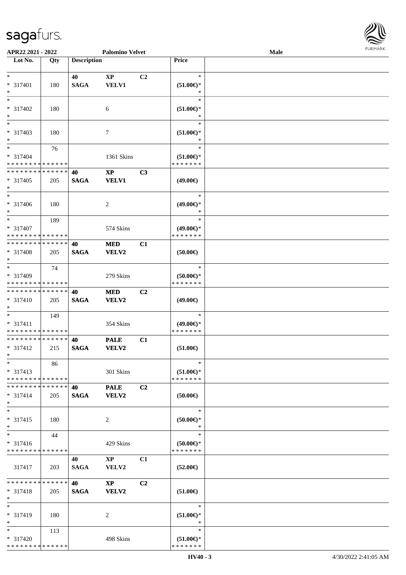

| APR22 2021 - 2022           |     |                    | <b>Palomino Velvet</b> |                |                                      | Male |  |
|-----------------------------|-----|--------------------|------------------------|----------------|--------------------------------------|------|--|
| Lot No.                     | Qty | <b>Description</b> |                        |                | Price                                |      |  |
|                             |     |                    |                        |                |                                      |      |  |
| $*$                         |     | 40                 | $\mathbf{X}\mathbf{P}$ | C2             | $\ast$                               |      |  |
| * 317401                    | 180 | <b>SAGA</b>        | <b>VELV1</b>           |                | $(51.00\epsilon)$ *                  |      |  |
| $\ast$                      |     |                    |                        |                | ∗                                    |      |  |
| $\overline{\ast}$           |     |                    |                        |                | $\ast$                               |      |  |
|                             |     |                    |                        |                |                                      |      |  |
| * 317402                    | 180 |                    | 6                      |                | $(51.00\epsilon)$ *                  |      |  |
| $\ast$                      |     |                    |                        |                |                                      |      |  |
| $\ast$                      |     |                    |                        |                | $\ast$                               |      |  |
| $* 317403$                  | 180 |                    | 7                      |                | $(51.00\epsilon)$ *                  |      |  |
| $\ast$                      |     |                    |                        |                | $\ast$                               |      |  |
| $\overline{\phantom{a}^*}$  | 76  |                    |                        |                | $\ast$                               |      |  |
| $* 317404$                  |     |                    | 1361 Skins             |                | $(51.00\epsilon)$ *                  |      |  |
| * * * * * * * * * * * * * * |     |                    |                        |                | * * * * * * *                        |      |  |
| **************              |     | 40                 | $\mathbf{X}\mathbf{P}$ | C3             |                                      |      |  |
| $* 317405$                  | 205 | <b>SAGA</b>        | <b>VELV1</b>           |                | $(49.00\epsilon)$                    |      |  |
| $\ast$                      |     |                    |                        |                |                                      |      |  |
| $\ast$                      |     |                    |                        |                | $\ast$                               |      |  |
| * 317406                    | 180 |                    |                        |                | $(49.00\epsilon)$ *                  |      |  |
| $\ast$                      |     |                    | $\overline{c}$         |                | $\ast$                               |      |  |
| $\ast$                      |     |                    |                        |                | $\ast$                               |      |  |
|                             | 189 |                    |                        |                |                                      |      |  |
| * 317407                    |     |                    | 574 Skins              |                | $(49.00\epsilon)$ *                  |      |  |
| * * * * * * * * * * * * * * |     |                    |                        |                | * * * * * * *                        |      |  |
| * * * * * * * * * * * * * * |     | 40                 | <b>MED</b>             | C1             |                                      |      |  |
| * 317408                    | 205 | <b>SAGA</b>        | <b>VELV2</b>           |                | (50.00)                              |      |  |
| $\ast$                      |     |                    |                        |                |                                      |      |  |
| $*$                         | 74  |                    |                        |                | $\ast$                               |      |  |
| * 317409                    |     |                    | 279 Skins              |                | $(50.00\epsilon)$ *                  |      |  |
| * * * * * * * * * * * * * * |     |                    |                        |                | * * * * * * *                        |      |  |
| **************              |     | 40                 | <b>MED</b>             | C <sub>2</sub> |                                      |      |  |
| * 317410                    | 205 | <b>SAGA</b>        | <b>VELV2</b>           |                | $(49.00\epsilon)$                    |      |  |
| $\ast$                      |     |                    |                        |                |                                      |      |  |
| $\ast$                      | 149 |                    |                        |                | $\ast$                               |      |  |
| $* 317411$                  |     |                    |                        |                |                                      |      |  |
| * * * * * * * * * * * * * * |     |                    | 354 Skins              |                | $(49.00\epsilon)$ *<br>* * * * * * * |      |  |
| **************              |     |                    |                        |                |                                      |      |  |
|                             |     | 40                 | <b>PALE</b>            | C1             |                                      |      |  |
| $* 317412$                  | 215 | <b>SAGA</b>        | <b>VELV2</b>           |                | $(51.00\epsilon)$                    |      |  |
| $*$                         |     |                    |                        |                |                                      |      |  |
| $*$                         | 86  |                    |                        |                | $\ast$                               |      |  |
| $* 317413$                  |     |                    | 301 Skins              |                | $(51.00\epsilon)$ *                  |      |  |
| * * * * * * * * * * * * * * |     |                    |                        |                | * * * * * * *                        |      |  |
| * * * * * * * * * * * * * * |     | 40                 | <b>PALE</b>            | C2             |                                      |      |  |
| $* 317414$                  | 205 | <b>SAGA</b>        | <b>VELV2</b>           |                | $(50.00\epsilon)$                    |      |  |
| $*$                         |     |                    |                        |                |                                      |      |  |
| $\ast$                      |     |                    |                        |                | $\ast$                               |      |  |
| $* 317415$                  | 180 |                    | 2                      |                | (50.00)                              |      |  |
| $\ast$                      |     |                    |                        |                | $\ast$                               |      |  |
| $\ast$                      | 44  |                    |                        |                | $\ast$                               |      |  |
| $* 317416$                  |     |                    | 429 Skins              |                | $(50.00\epsilon)$ *                  |      |  |
| * * * * * * * * * * * * * * |     |                    |                        |                | * * * * * * *                        |      |  |
|                             |     | 40                 | $\mathbf{X}\mathbf{P}$ | C1             |                                      |      |  |
|                             |     |                    |                        |                |                                      |      |  |
| 317417                      | 203 | <b>SAGA</b>        | VELV2                  |                | $(52.00\epsilon)$                    |      |  |
|                             |     |                    |                        |                |                                      |      |  |
| * * * * * * * * * * * * * * |     | <b>40</b>          | $\mathbf{X}\mathbf{P}$ | C2             |                                      |      |  |
| $* 317418$                  | 205 | <b>SAGA</b>        | <b>VELV2</b>           |                | $(51.00\epsilon)$                    |      |  |
| $*$                         |     |                    |                        |                |                                      |      |  |
| $\ast$                      |     |                    |                        |                | $\ast$                               |      |  |
| * 317419                    | 180 |                    | 2                      |                | $(51.00\epsilon)$ *                  |      |  |
| $\ast$                      |     |                    |                        |                | $\ast$                               |      |  |
| $*$                         | 113 |                    |                        |                | $\ast$                               |      |  |
| * 317420                    |     |                    | 498 Skins              |                | $(51.00\epsilon)$ *                  |      |  |
| * * * * * * * * * * * * * * |     |                    |                        |                | * * * * * * *                        |      |  |
|                             |     |                    |                        |                |                                      |      |  |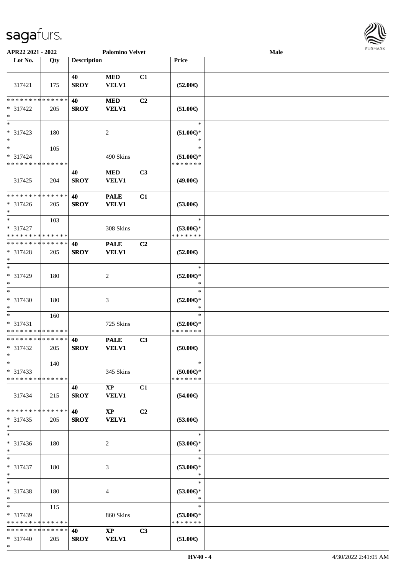\*

| APR22 2021 - 2022                                   |     |                    | <b>Palomino Velvet</b>                 |                |                                                | Male | <b>FURMARK</b> |
|-----------------------------------------------------|-----|--------------------|----------------------------------------|----------------|------------------------------------------------|------|----------------|
| Lot No.                                             | Qty | <b>Description</b> |                                        |                | Price                                          |      |                |
| 317421                                              | 175 | 40<br><b>SROY</b>  | $\bf MED$<br><b>VELV1</b>              | C1             | $(52.00\epsilon)$                              |      |                |
| * * * * * * * * * * * * * *<br>* 317422<br>$\ast$   | 205 | 40<br><b>SROY</b>  | <b>MED</b><br><b>VELV1</b>             | C2             | $(51.00\epsilon)$                              |      |                |
| $\ast$<br>$* 317423$<br>$*$                         | 180 |                    | 2                                      |                | $\ast$<br>$(51.00\epsilon)$ *<br>$\ast$        |      |                |
| $*$<br>* 317424<br>* * * * * * * * * * * * * *      | 105 |                    | 490 Skins                              |                | $\ast$<br>$(51.00\epsilon)$ *<br>* * * * * * * |      |                |
| 317425                                              | 204 | 40<br><b>SROY</b>  | $\bf MED$<br><b>VELV1</b>              | C3             | $(49.00\epsilon)$                              |      |                |
| * * * * * * * * * * * * * *<br>* 317426<br>$*$      | 205 | 40<br><b>SROY</b>  | <b>PALE</b><br><b>VELV1</b>            | C1             | $(53.00\epsilon)$                              |      |                |
| $*$<br>* 317427<br>* * * * * * * * * * * * * *      | 103 |                    | $308~\mathrm{Skins}$                   |                | $\ast$<br>$(53.00\epsilon)$ *<br>* * * * * * * |      |                |
| * * * * * * * * * * * * * *<br>* 317428<br>$\ast$   | 205 | 40<br><b>SROY</b>  | <b>PALE</b><br><b>VELV1</b>            | C <sub>2</sub> | $(52.00\epsilon)$                              |      |                |
| $\ast$<br>$* 317429$<br>$\ast$                      | 180 |                    | 2                                      |                | $\ast$<br>$(52.00\epsilon)$ *<br>$\ast$        |      |                |
| $\ast$<br>$* 317430$<br>$\ast$                      | 180 |                    | 3                                      |                | $\ast$<br>$(52.00\epsilon)$ *<br>∗             |      |                |
| $*$<br>$* 317431$<br>* * * * * * * * * * * * * *    | 160 |                    | 725 Skins                              |                | $\ast$<br>$(52.00\epsilon)$ *<br>* * * * * * * |      |                |
| * * * * * * * * * * * * * *<br>* 317432<br>$\ast$   | 205 | 40<br><b>SROY</b>  | <b>PALE</b><br><b>VELV1</b>            | C3             | $(50.00\in)$                                   |      |                |
| $\ast$<br>$* 317433$<br>* * * * * * * * * * * * * * | 140 |                    | 345 Skins                              |                | $\ast$<br>$(50.00)$ *<br>* * * * * * *         |      |                |
| 317434                                              | 215 | 40<br><b>SROY</b>  | $\mathbf{XP}$<br><b>VELV1</b>          | C1             | $(54.00\epsilon)$                              |      |                |
| * * * * * * * * * * * * * *<br>$* 317435$<br>$\ast$ | 205 | 40<br><b>SROY</b>  | $\mathbf{XP}$<br><b>VELV1</b>          | C <sub>2</sub> | $(53.00\epsilon)$                              |      |                |
| $\ast$<br>* 317436<br>$*$                           | 180 |                    | 2                                      |                | $\ast$<br>$(53.00\epsilon)$ *<br>$\ast$        |      |                |
| $*$<br>* 317437<br>$*$                              | 180 |                    | 3                                      |                | $\ast$<br>$(53.00\epsilon)$ *<br>∗             |      |                |
| $*$<br>* 317438<br>$*$                              | 180 |                    | 4                                      |                | $\ast$<br>$(53.00\epsilon)$ *<br>$\ast$        |      |                |
| $\ast$<br>* 317439<br>* * * * * * * * * * * * * *   | 115 |                    | 860 Skins                              |                | $\ast$<br>$(53.00\epsilon)$ *<br>* * * * * * * |      |                |
| * * * * * * * * * * * * * * *<br>* 317440           | 205 | 40<br><b>SROY</b>  | $\mathbf{X}\mathbf{P}$<br><b>VELV1</b> | C3             | $(51.00\epsilon)$                              |      |                |

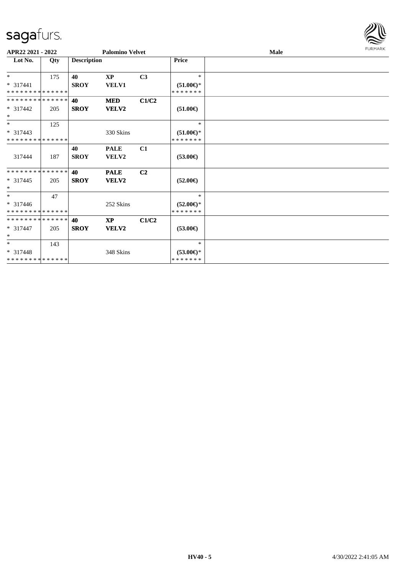

| APR22 2021 - 2022                         |     |                    | <b>Palomino Velvet</b> |                |                                      | Male | <b>FURMARK</b> |
|-------------------------------------------|-----|--------------------|------------------------|----------------|--------------------------------------|------|----------------|
| Lot No.                                   | Qty | <b>Description</b> |                        |                | <b>Price</b>                         |      |                |
| $*$                                       | 175 | 40                 | <b>XP</b>              | C <sub>3</sub> | $*$                                  |      |                |
| $* 317441$<br>* * * * * * * * * * * * * * |     | <b>SROY</b>        | <b>VELV1</b>           |                | $(51.00\epsilon)$ *<br>* * * * * * * |      |                |
| * * * * * * * * * * * * * * *             |     | 40                 | <b>MED</b>             | C1/C2          |                                      |      |                |
| $* 317442$<br>$*$                         | 205 | <b>SROY</b>        | <b>VELV2</b>           |                | $(51.00\epsilon)$                    |      |                |
| $*$                                       | 125 |                    |                        |                | $\ast$                               |      |                |
| $* 317443$<br>* * * * * * * * * * * * * * |     |                    | 330 Skins              |                | $(51.00\epsilon)$ *<br>* * * * * * * |      |                |
| 317444                                    | 187 | 40<br><b>SROY</b>  | <b>PALE</b><br>VELV2   | C1             | $(53.00\epsilon)$                    |      |                |
| * * * * * * * * * * * * * *               |     | 40                 | <b>PALE</b>            | C <sub>2</sub> |                                      |      |                |
| $* 317445$<br>$*$                         | 205 | <b>SROY</b>        | <b>VELV2</b>           |                | $(52.00\epsilon)$                    |      |                |
| $*$                                       | 47  |                    |                        |                | $\ast$                               |      |                |
| $* 317446$<br>* * * * * * * * * * * * * * |     |                    | 252 Skins              |                | $(52.00\epsilon)$ *<br>* * * * * * * |      |                |
| * * * * * * * * * * * * * *               |     | 40                 | <b>XP</b>              | C1/C2          |                                      |      |                |
| $* 317447$<br>$*$                         | 205 | <b>SROY</b>        | VELV2                  |                | $(53.00\epsilon)$                    |      |                |
| $*$                                       | 143 |                    |                        |                | $\ast$                               |      |                |
| $* 317448$<br>* * * * * * * * * * * * * * |     |                    | 348 Skins              |                | $(53.00\epsilon)$ *<br>* * * * * * * |      |                |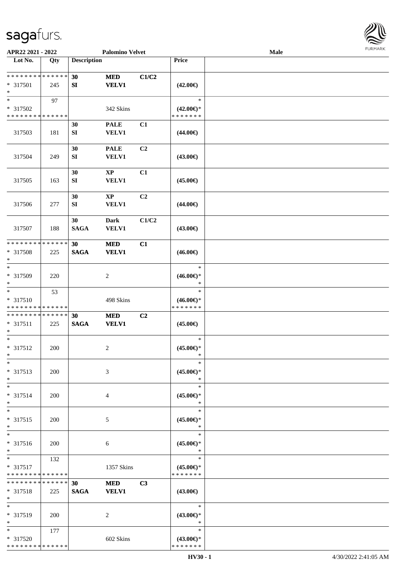

| APR22 2021 - 2022                          |            |                    | <b>Palomino Velvet</b> |                |                                      | Male |  |
|--------------------------------------------|------------|--------------------|------------------------|----------------|--------------------------------------|------|--|
| Lot No.                                    | Qty        | <b>Description</b> |                        |                | Price                                |      |  |
|                                            |            |                    |                        |                |                                      |      |  |
| **************                             |            | 30                 | <b>MED</b>             | C1/C2          |                                      |      |  |
| * 317501<br>$\ast$                         | 245        | SI                 | <b>VELV1</b>           |                | $(42.00\epsilon)$                    |      |  |
| $\ast$                                     | 97         |                    |                        |                | $\ast$                               |      |  |
| * 317502                                   |            |                    | 342 Skins              |                | $(42.00\epsilon)$ *                  |      |  |
| * * * * * * * * <mark>* * * * * * *</mark> |            |                    |                        |                | * * * * * * *                        |      |  |
|                                            |            | 30                 | <b>PALE</b>            | C1             |                                      |      |  |
| 317503                                     | 181        | ${\bf SI}$         | <b>VELV1</b>           |                | $(44.00\epsilon)$                    |      |  |
|                                            |            |                    |                        |                |                                      |      |  |
|                                            |            | 30                 | <b>PALE</b>            | C <sub>2</sub> |                                      |      |  |
| 317504                                     | 249        | ${\bf S}{\bf I}$   | <b>VELV1</b>           |                | $(43.00\epsilon)$                    |      |  |
|                                            |            |                    |                        |                |                                      |      |  |
|                                            |            | 30                 | $\mathbf{X}\mathbf{P}$ | C1             |                                      |      |  |
| 317505                                     | 163        | ${\bf SI}$         | <b>VELV1</b>           |                | $(45.00\epsilon)$                    |      |  |
|                                            |            |                    |                        |                |                                      |      |  |
|                                            |            | 30                 | $\mathbf{X}\mathbf{P}$ | C <sub>2</sub> |                                      |      |  |
| 317506                                     | 277        | SI                 | <b>VELV1</b>           |                | $(44.00\epsilon)$                    |      |  |
|                                            |            | 30                 | <b>Dark</b>            | C1/C2          |                                      |      |  |
| 317507                                     | 188        | <b>SAGA</b>        | <b>VELV1</b>           |                | $(43.00\epsilon)$                    |      |  |
|                                            |            |                    |                        |                |                                      |      |  |
| * * * * * * * * * * * * * *                |            | 30                 | <b>MED</b>             | C1             |                                      |      |  |
| * 317508                                   | 225        | <b>SAGA</b>        | <b>VELV1</b>           |                | $(46.00\epsilon)$                    |      |  |
| $\ast$                                     |            |                    |                        |                |                                      |      |  |
| $\ast$                                     |            |                    |                        |                | $\ast$                               |      |  |
| * 317509                                   | 220        |                    | $\overline{c}$         |                | $(46.00\epsilon)$ *                  |      |  |
| $\ast$<br>$\overline{\ast}$                |            |                    |                        |                | $\ast$<br>$\ast$                     |      |  |
| * 317510                                   | 53         |                    | 498 Skins              |                | $(46.00\epsilon)$ *                  |      |  |
| * * * * * * * * * * * * * *                |            |                    |                        |                | * * * * * * *                        |      |  |
| **************                             |            | 30                 | <b>MED</b>             | C2             |                                      |      |  |
| $* 317511$                                 | 225        | $\mathbf{SAGA}$    | <b>VELV1</b>           |                | $(45.00\epsilon)$                    |      |  |
| $\ast$                                     |            |                    |                        |                |                                      |      |  |
| $\ast$                                     |            |                    |                        |                | $\ast$                               |      |  |
| $* 317512$                                 | 200        |                    | $\overline{c}$         |                | $(45.00ε)$ *                         |      |  |
| $*$                                        |            |                    |                        |                | $\ast$                               |      |  |
| $*$                                        |            |                    |                        |                | $\ast$                               |      |  |
| * 317513                                   | 200        |                    | 3                      |                | $(45.00\epsilon)$ *<br>$\ast$        |      |  |
| $\ast$<br>$\ast$                           |            |                    |                        |                | $\ast$                               |      |  |
| * 317514                                   | 200        |                    | 4                      |                | $(45.00\epsilon)$ *                  |      |  |
| $\ast$                                     |            |                    |                        |                | $\ast$                               |      |  |
| $\ast$                                     |            |                    |                        |                | $\ast$                               |      |  |
| * 317515                                   | <b>200</b> |                    | 5                      |                | $(45.00\epsilon)$ *                  |      |  |
| $\ast$                                     |            |                    |                        |                | $\ast$                               |      |  |
| $\ast$                                     |            |                    |                        |                | $\ast$                               |      |  |
| * 317516                                   | 200        |                    | 6                      |                | $(45.00\epsilon)$ *                  |      |  |
| $\ast$                                     |            |                    |                        |                | $\ast$                               |      |  |
| $*$                                        | 132        |                    |                        |                | $\ast$                               |      |  |
| $* 317517$<br>* * * * * * * * * * * * * *  |            |                    | 1357 Skins             |                | $(45.00\epsilon)$ *<br>* * * * * * * |      |  |
| * * * * * * * * * * * * * *                |            | 30                 | <b>MED</b>             | C <sub>3</sub> |                                      |      |  |
| * 317518                                   | 225        | <b>SAGA</b>        | <b>VELV1</b>           |                | $(43.00\epsilon)$                    |      |  |
| $*$                                        |            |                    |                        |                |                                      |      |  |
| $\ast$                                     |            |                    |                        |                | $\ast$                               |      |  |
| * 317519                                   | 200        |                    | 2                      |                | $(43.00\epsilon)$ *                  |      |  |
| $\ast$                                     |            |                    |                        |                | $\ast$                               |      |  |
| $\ast$                                     | 177        |                    |                        |                | $\ast$                               |      |  |
| * 317520                                   |            |                    | 602 Skins              |                | $(43.00\epsilon)$ *                  |      |  |
| * * * * * * * * * * * * * *                |            |                    |                        |                | * * * * * * *                        |      |  |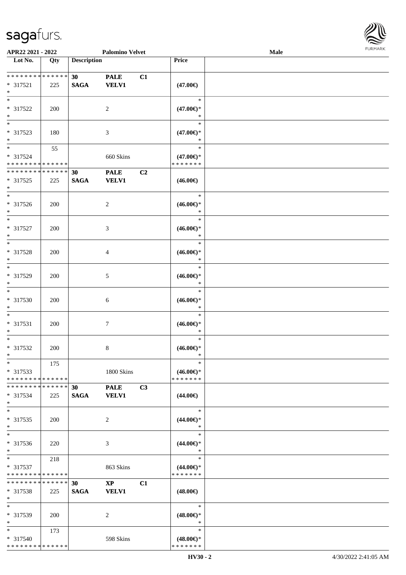

| APR22 2021 - 2022                |     |                    | <b>Palomino Velvet</b> |    |                               | Male | 1.91111111 |
|----------------------------------|-----|--------------------|------------------------|----|-------------------------------|------|------------|
| $\overline{\phantom{1}}$ Lot No. | Qty | <b>Description</b> |                        |    | Price                         |      |            |
|                                  |     |                    |                        |    |                               |      |            |
| * * * * * * * * * * * * * *      |     | 30 <sup>°</sup>    | <b>PALE</b>            | C1 |                               |      |            |
| * 317521                         | 225 | <b>SAGA</b>        | <b>VELV1</b>           |    | $(47.00\epsilon)$             |      |            |
| $\ast$                           |     |                    |                        |    |                               |      |            |
| $\ast$                           |     |                    |                        |    | $\ast$                        |      |            |
| * 317522                         | 200 |                    | 2                      |    | $(47.00\epsilon)$ *           |      |            |
| $\ast$                           |     |                    |                        |    | $\ast$                        |      |            |
| $*$                              |     |                    |                        |    | $\ast$                        |      |            |
| * 317523                         | 180 |                    | $\mathfrak{Z}$         |    | $(47.00\epsilon)$ *           |      |            |
| $\ast$                           |     |                    |                        |    | $\ast$                        |      |            |
| $\overline{\phantom{0}}$         |     |                    |                        |    | $\ast$                        |      |            |
|                                  | 55  |                    |                        |    |                               |      |            |
| * 317524                         |     |                    | 660 Skins              |    | $(47.00\epsilon)$ *           |      |            |
| * * * * * * * * * * * * * *      |     |                    |                        |    | * * * * * * *                 |      |            |
| * * * * * * * * * * * * * *      |     | 30                 | <b>PALE</b>            | C2 |                               |      |            |
| * 317525                         | 225 | <b>SAGA</b>        | <b>VELV1</b>           |    | $(46.00\epsilon)$             |      |            |
| $*$                              |     |                    |                        |    |                               |      |            |
| $*$                              |     |                    |                        |    | $\ast$                        |      |            |
| $* 317526$                       | 200 |                    | $\sqrt{2}$             |    | $(46.00\epsilon)$ *           |      |            |
| $\ast$                           |     |                    |                        |    | $\ast$                        |      |            |
| $\ast$                           |     |                    |                        |    | $\ast$                        |      |            |
| $* 317527$                       | 200 |                    | $\mathfrak{Z}$         |    | $(46.00\epsilon)$ *           |      |            |
| $\ast$                           |     |                    |                        |    | $\ast$                        |      |            |
| $\ast$                           |     |                    |                        |    | $\ast$                        |      |            |
| * 317528                         | 200 |                    | $\overline{4}$         |    | $(46.00\epsilon)$ *           |      |            |
| $\ast$                           |     |                    |                        |    | $\ast$                        |      |            |
| $*$                              |     |                    |                        |    | $\ast$                        |      |            |
|                                  |     |                    |                        |    |                               |      |            |
| * 317529                         | 200 |                    | 5                      |    | $(46.00\epsilon)$ *           |      |            |
| $\ast$                           |     |                    |                        |    | $\ast$                        |      |            |
| $\ast$                           |     |                    |                        |    | $\ast$                        |      |            |
| * 317530                         | 200 |                    | 6                      |    | $(46.00\epsilon)$ *           |      |            |
| $\ast$                           |     |                    |                        |    | $\ast$                        |      |            |
| $\ast$                           |     |                    |                        |    | $\ast$                        |      |            |
| * 317531                         | 200 |                    | 7                      |    | $(46.00\epsilon)$ *           |      |            |
| $*$                              |     |                    |                        |    | $\ast$                        |      |            |
| $*$                              |     |                    |                        |    | $\ast$                        |      |            |
| $* 317532$                       | 200 |                    | $\,8\,$                |    | $(46.00\epsilon)$ *           |      |            |
| $*$                              |     |                    |                        |    | *                             |      |            |
| $*$                              | 175 |                    |                        |    | $\ast$                        |      |            |
| * 317533                         |     |                    | 1800 Skins             |    | $(46.00\epsilon)$ *           |      |            |
| * * * * * * * * * * * * * *      |     |                    |                        |    | * * * * * * *                 |      |            |
| * * * * * * * * * * * * * *      |     | 30 <sup>°</sup>    | <b>PALE</b>            | C3 |                               |      |            |
| $* 317534$                       | 225 | <b>SAGA</b>        | <b>VELV1</b>           |    | $(44.00\epsilon)$             |      |            |
| $*$                              |     |                    |                        |    |                               |      |            |
| $*$                              |     |                    |                        |    | $\ast$                        |      |            |
|                                  |     |                    |                        |    |                               |      |            |
| * 317535                         | 200 |                    | 2                      |    | $(44.00\epsilon)$ *<br>$\ast$ |      |            |
| $*$                              |     |                    |                        |    |                               |      |            |
| $\ast$                           |     |                    |                        |    | $\ast$                        |      |            |
| * 317536                         | 220 |                    | 3                      |    | $(44.00\epsilon)$ *           |      |            |
| $\ast$                           |     |                    |                        |    | $\ast$                        |      |            |
| $*$                              | 218 |                    |                        |    | $\ast$                        |      |            |
| $* 317537$                       |     |                    | 863 Skins              |    | $(44.00\epsilon)$ *           |      |            |
| * * * * * * * * * * * * * *      |     |                    |                        |    | * * * * * * *                 |      |            |
| **************                   |     | 30                 | $\mathbf{XP}$          | C1 |                               |      |            |
| * 317538                         | 225 | <b>SAGA</b>        | <b>VELV1</b>           |    | $(48.00\epsilon)$             |      |            |
| $*$                              |     |                    |                        |    |                               |      |            |
| $*$                              |     |                    |                        |    | $\ast$                        |      |            |
| * 317539                         | 200 |                    | 2                      |    | $(48.00\epsilon)$ *           |      |            |
| $*$                              |     |                    |                        |    | $\ast$                        |      |            |
| $*$                              | 173 |                    |                        |    | $\ast$                        |      |            |
| * 317540                         |     |                    | 598 Skins              |    | $(48.00\epsilon)$ *           |      |            |
| * * * * * * * * * * * * * *      |     |                    |                        |    | * * * * * * *                 |      |            |
|                                  |     |                    |                        |    |                               |      |            |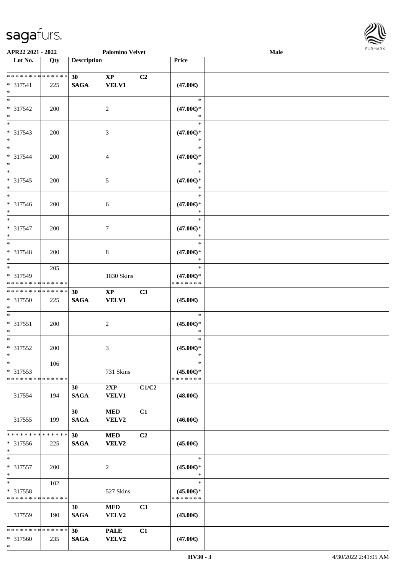\*



| APR22 2021 - 2022                                    |     |                                | <b>Palomino Velvet</b>                 |                |                                                | Male |  |
|------------------------------------------------------|-----|--------------------------------|----------------------------------------|----------------|------------------------------------------------|------|--|
| Lot No.                                              | Qty | <b>Description</b>             |                                        |                | Price                                          |      |  |
| ******** <mark>******</mark><br>$* 317541$<br>$\ast$ | 225 | 30 <sup>°</sup><br><b>SAGA</b> | $\mathbf{X}\mathbf{P}$<br><b>VELV1</b> | C2             | $(47.00\epsilon)$                              |      |  |
| $\overline{\ast}$<br>* 317542<br>$\ast$              | 200 |                                | $\overline{2}$                         |                | $\ast$<br>$(47.00\epsilon)$ *                  |      |  |
| $\overline{\phantom{1}}$<br>* 317543<br>$\ast$       | 200 |                                | 3                                      |                | $\ast$<br>$(47.00\epsilon)$ *<br>*             |      |  |
| $\overline{\ast}$<br>* 317544<br>$\ast$              | 200 |                                | $\overline{4}$                         |                | $\ast$<br>$(47.00\epsilon)$ *<br>$\ast$        |      |  |
| $\overline{\ast}$<br>* 317545<br>$\ast$              | 200 |                                | $\sqrt{5}$                             |                | $\ast$<br>$(47.00\epsilon)$ *<br>$\ast$        |      |  |
| $\overline{\phantom{a}^*}$<br>$* 317546$<br>$\ast$   | 200 |                                | $\sqrt{6}$                             |                | $\ast$<br>$(47.00\epsilon)$ *<br>$\ast$        |      |  |
| $\ast$<br>* 317547<br>$\ast$                         | 200 |                                | $\tau$                                 |                | $\ast$<br>$(47.00\epsilon)$ *<br>$\ast$        |      |  |
| $\ast$<br>* 317548<br>$\ast$                         | 200 |                                | $\,8\,$                                |                | $\ast$<br>$(47.00\epsilon)$ *<br>$\ast$        |      |  |
| $\ast$<br>* 317549<br>* * * * * * * * * * * * * *    | 205 |                                | 1830 Skins                             |                | $\ast$<br>$(47.00\epsilon)$ *<br>* * * * * * * |      |  |
| **************<br>* 317550<br>$\ast$                 | 225 | 30<br>$\mathbf{SAGA}$          | $\bold{XP}$<br><b>VELV1</b>            | C3             | $(45.00\epsilon)$                              |      |  |
| $\ast$<br>$* 317551$<br>$\ast$                       | 200 |                                | $\sqrt{2}$                             |                | $\ast$<br>$(45.00\epsilon)$ *<br>$\ast$        |      |  |
| $\ast$<br>$* 317552$<br>$*$                          | 200 |                                | 3                                      |                | $\ast$<br>$(45.00\epsilon)$ *<br>$\ast$        |      |  |
| $\ast$<br>$* 317553$<br>* * * * * * * * * * * * * *  | 106 |                                | 731 Skins                              |                | $\ast$<br>$(45.00\epsilon)$ *<br>* * * * * * * |      |  |
| 317554                                               | 194 | 30<br><b>SAGA</b>              | 2XP<br><b>VELV1</b>                    | C1/C2          | $(48.00\epsilon)$                              |      |  |
| 317555                                               | 199 | 30 <sup>1</sup><br><b>SAGA</b> | <b>MED</b><br>VELV2                    | C1             | $(46.00\epsilon)$                              |      |  |
| * * * * * * * * * * * * * *<br>* 317556<br>$*$       | 225 | 30 <sup>1</sup><br><b>SAGA</b> | <b>MED</b><br><b>VELV2</b>             | C2             | $(45.00\epsilon)$                              |      |  |
| $\ast$<br>* 317557<br>$\ast$                         | 200 |                                | $\sqrt{2}$                             |                | $\ast$<br>$(45.00\epsilon)$ *<br>$\ast$        |      |  |
| $\ast$<br>* 317558<br>* * * * * * * * * * * * * *    | 102 |                                | 527 Skins                              |                | $\ast$<br>$(45.00\epsilon)$ *<br>* * * * * * * |      |  |
| 317559                                               | 190 | 30<br><b>SAGA</b>              | <b>MED</b><br>${\bf VELV2}$            | C <sub>3</sub> | $(43.00\epsilon)$                              |      |  |
| * * * * * * * * * * * * * *<br>* 317560              | 235 | 30 <sup>°</sup><br><b>SAGA</b> | <b>PALE</b><br><b>VELV2</b>            | C1             | $(47.00\epsilon)$                              |      |  |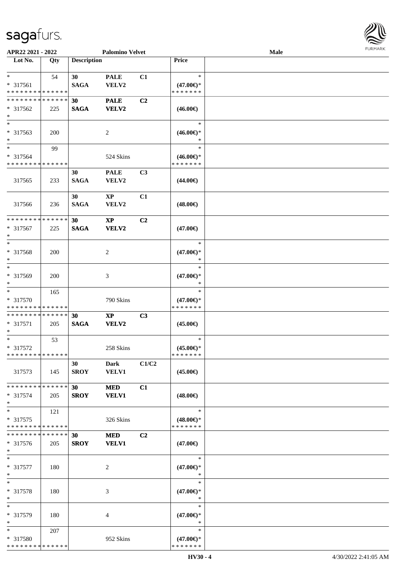

| APR22 2021 - 2022           |     |                    | <b>Palomino Velvet</b> |                |                     | Male |  |
|-----------------------------|-----|--------------------|------------------------|----------------|---------------------|------|--|
| Lot No.                     | Qty | <b>Description</b> |                        |                | Price               |      |  |
|                             |     |                    |                        |                |                     |      |  |
| $\ast$                      | 54  | 30                 | <b>PALE</b>            | C1             | $\ast$              |      |  |
| * 317561                    |     | <b>SAGA</b>        | VELV2                  |                | $(47.00\epsilon)$ * |      |  |
| * * * * * * * * * * * * * * |     |                    |                        |                | * * * * * * *       |      |  |
| * * * * * * * * * * * * * * |     | 30                 | <b>PALE</b>            | C2             |                     |      |  |
|                             |     |                    |                        |                |                     |      |  |
| $* 317562$                  | 225 | <b>SAGA</b>        | <b>VELV2</b>           |                | $(46.00\epsilon)$   |      |  |
| $\ast$<br>$\overline{\ast}$ |     |                    |                        |                |                     |      |  |
|                             |     |                    |                        |                | $\ast$              |      |  |
| * 317563                    | 200 |                    | 2                      |                | $(46.00\epsilon)$ * |      |  |
| $\ast$                      |     |                    |                        |                |                     |      |  |
| $\ast$                      | 99  |                    |                        |                | $\ast$              |      |  |
| * 317564                    |     |                    | 524 Skins              |                | $(46.00\epsilon)$ * |      |  |
| * * * * * * * * * * * * * * |     |                    |                        |                | * * * * * * *       |      |  |
|                             |     | 30                 | <b>PALE</b>            | C3             |                     |      |  |
| 317565                      | 233 | <b>SAGA</b>        | <b>VELV2</b>           |                | $(44.00\epsilon)$   |      |  |
|                             |     |                    |                        |                |                     |      |  |
|                             |     | 30                 | $\mathbf{X}\mathbf{P}$ | C1             |                     |      |  |
|                             |     |                    |                        |                |                     |      |  |
| 317566                      | 236 | <b>SAGA</b>        | VELV2                  |                | $(48.00\epsilon)$   |      |  |
|                             |     |                    |                        |                |                     |      |  |
| **************              |     | 30                 | $\mathbf{XP}$          | C2             |                     |      |  |
| * 317567                    | 225 | <b>SAGA</b>        | <b>VELV2</b>           |                | $(47.00\epsilon)$   |      |  |
| $\ast$                      |     |                    |                        |                |                     |      |  |
| $\ast$                      |     |                    |                        |                | $\ast$              |      |  |
| * 317568                    | 200 |                    | $\overline{c}$         |                | $(47.00\epsilon)$ * |      |  |
| $\ast$                      |     |                    |                        |                | ∗                   |      |  |
| $\ast$                      |     |                    |                        |                | $\ast$              |      |  |
| * 317569                    | 200 |                    | 3                      |                | $(47.00\epsilon)$ * |      |  |
| $\ast$                      |     |                    |                        |                |                     |      |  |
| $\ast$                      |     |                    |                        |                | $\ast$              |      |  |
|                             | 165 |                    |                        |                |                     |      |  |
| * 317570                    |     |                    | 790 Skins              |                | $(47.00\epsilon)$ * |      |  |
| * * * * * * * * * * * * * * |     |                    |                        |                | * * * * * * *       |      |  |
| **************              |     | 30                 | $\mathbf{X}\mathbf{P}$ | C3             |                     |      |  |
| * 317571                    | 205 | <b>SAGA</b>        | <b>VELV2</b>           |                | $(45.00\epsilon)$   |      |  |
| $\ast$                      |     |                    |                        |                |                     |      |  |
| $\ast$                      | 53  |                    |                        |                | $\ast$              |      |  |
| * 317572                    |     |                    | 258 Skins              |                | $(45.00\epsilon)$ * |      |  |
| **************              |     |                    |                        |                | * * * * * * *       |      |  |
|                             |     | 30                 | Dark                   | C1/C2          |                     |      |  |
| 317573                      | 145 | <b>SROY</b>        | <b>VELV1</b>           |                | $(45.00\epsilon)$   |      |  |
|                             |     |                    |                        |                |                     |      |  |
|                             |     |                    |                        |                |                     |      |  |
| * * * * * * * * * * * * * * |     | 30                 | <b>MED</b>             | C1             |                     |      |  |
| * 317574                    | 205 | <b>SROY</b>        | <b>VELV1</b>           |                | $(48.00\epsilon)$   |      |  |
| $\ast$                      |     |                    |                        |                |                     |      |  |
| $\ast$                      | 121 |                    |                        |                | $\ast$              |      |  |
| * 317575                    |     |                    | 326 Skins              |                | $(48.00\epsilon)$ * |      |  |
| * * * * * * * * * * * * * * |     |                    |                        |                | * * * * * * *       |      |  |
| * * * * * * * * * * * * * * |     | 30                 | <b>MED</b>             | C <sub>2</sub> |                     |      |  |
| $* 317576$                  | 205 | <b>SROY</b>        | <b>VELV1</b>           |                | $(47.00\epsilon)$   |      |  |
| $*$                         |     |                    |                        |                |                     |      |  |
| $*$                         |     |                    |                        |                | $\ast$              |      |  |
|                             |     |                    |                        |                |                     |      |  |
| * 317577                    | 180 |                    | $\overline{c}$         |                | $(47.00\epsilon)$ * |      |  |
| $\ast$                      |     |                    |                        |                | $\ast$              |      |  |
| $\ast$                      |     |                    |                        |                | $\ast$              |      |  |
| * 317578                    | 180 |                    | 3                      |                | $(47.00\epsilon)$ * |      |  |
| $\ast$                      |     |                    |                        |                | $\ast$              |      |  |
| $\ast$                      |     |                    |                        |                | $\ast$              |      |  |
| * 317579                    | 180 |                    | 4                      |                | $(47.00\epsilon)$ * |      |  |
| $\ast$                      |     |                    |                        |                | $\ast$              |      |  |
| $*$                         | 207 |                    |                        |                | $\ast$              |      |  |
|                             |     |                    |                        |                |                     |      |  |
| * 317580                    |     |                    | 952 Skins              |                | $(47.00\epsilon)$ * |      |  |
| * * * * * * * * * * * * * * |     |                    |                        |                | * * * * * * *       |      |  |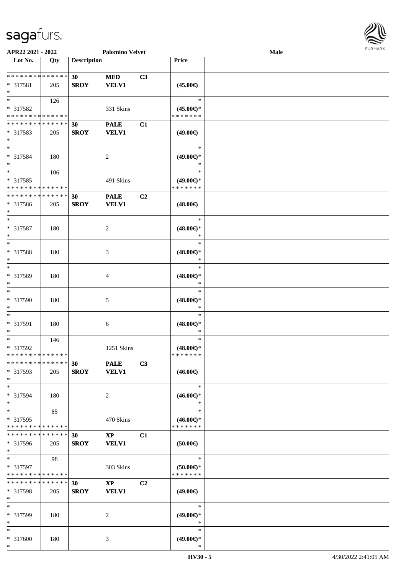

| APR22 2021 - 2022                       |     |                    | <b>Palomino Velvet</b> |    |                                      | Male |  |
|-----------------------------------------|-----|--------------------|------------------------|----|--------------------------------------|------|--|
| Lot No.                                 | Qty | <b>Description</b> |                        |    | Price                                |      |  |
|                                         |     |                    |                        |    |                                      |      |  |
| **************                          |     | 30                 | <b>MED</b>             | C3 |                                      |      |  |
| * 317581                                | 205 | <b>SROY</b>        | <b>VELV1</b>           |    | $(45.00\epsilon)$                    |      |  |
| $\ast$                                  |     |                    |                        |    |                                      |      |  |
| $*$                                     | 126 |                    |                        |    | $\ast$                               |      |  |
| * 317582                                |     |                    | 331 Skins              |    | $(45.00\epsilon)$ *                  |      |  |
| * * * * * * * * * * * * * *             |     |                    |                        |    | * * * * * * *                        |      |  |
| * * * * * * * * * * * * * *             |     | 30                 | <b>PALE</b>            | C1 |                                      |      |  |
| * 317583                                | 205 | <b>SROY</b>        | <b>VELV1</b>           |    | $(49.00\epsilon)$                    |      |  |
| $*$                                     |     |                    |                        |    |                                      |      |  |
| $*$                                     |     |                    |                        |    | $\ast$                               |      |  |
| * 317584                                | 180 |                    | $\overline{c}$         |    | $(49.00\epsilon)$ *                  |      |  |
| $*$                                     |     |                    |                        |    | $\ast$                               |      |  |
| $*$                                     | 106 |                    |                        |    | $\ast$                               |      |  |
| * 317585                                |     |                    | 491 Skins              |    | $(49.00\epsilon)$ *                  |      |  |
| * * * * * * * * * * * * * *             |     |                    |                        |    | * * * * * * *                        |      |  |
| * * * * * * * * * * * * * *             |     | 30                 | <b>PALE</b>            | C2 |                                      |      |  |
| $*317586$                               | 205 | <b>SROY</b>        | <b>VELV1</b>           |    | $(48.00\epsilon)$                    |      |  |
| $\ast$                                  |     |                    |                        |    |                                      |      |  |
| $*$                                     |     |                    |                        |    | $\ast$                               |      |  |
| * 317587                                | 180 |                    | 2                      |    | $(48.00\epsilon)$ *                  |      |  |
| $\ast$                                  |     |                    |                        |    | $\ast$                               |      |  |
| $\ast$                                  |     |                    |                        |    | $\ast$                               |      |  |
| * 317588                                |     |                    |                        |    | $(48.00\epsilon)$ *                  |      |  |
| $\ast$                                  | 180 |                    | 3                      |    | $\ast$                               |      |  |
| $\ast$                                  |     |                    |                        |    | $\ast$                               |      |  |
| * 317589                                |     |                    |                        |    |                                      |      |  |
| $\ast$                                  | 180 |                    | 4                      |    | $(48.00\epsilon)$ *<br>$\ast$        |      |  |
| $\ast$                                  |     |                    |                        |    | $\ast$                               |      |  |
|                                         |     |                    |                        |    |                                      |      |  |
| * 317590                                | 180 |                    | 5                      |    | $(48.00\in)^\ast$                    |      |  |
| $*$<br>$*$                              |     |                    |                        |    | $\ast$<br>$\ast$                     |      |  |
|                                         |     |                    |                        |    |                                      |      |  |
| $* 317591$                              | 180 |                    | 6                      |    | $(48.00\epsilon)$ *<br>$\ast$        |      |  |
| $\ast$<br>$\ast$                        |     |                    |                        |    | $\ast$                               |      |  |
|                                         | 146 |                    |                        |    |                                      |      |  |
| * 317592<br>* * * * * * * * * * * * * * |     |                    | 1251 Skins             |    | $(48.00\epsilon)$ *<br>* * * * * * * |      |  |
| * * * * * * * * * * * * * *             |     |                    |                        |    |                                      |      |  |
|                                         |     | 30                 | <b>PALE</b>            | C3 |                                      |      |  |
| * 317593                                | 205 | <b>SROY</b>        | <b>VELV1</b>           |    | $(46.00\epsilon)$                    |      |  |
| $*$<br>$*$                              |     |                    |                        |    | $\ast$                               |      |  |
|                                         |     |                    |                        |    |                                      |      |  |
| * 317594                                | 180 |                    | 2                      |    | $(46.00\epsilon)$ *                  |      |  |
| $*$                                     |     |                    |                        |    | $\ast$                               |      |  |
| $*$                                     | 85  |                    |                        |    | $\ast$                               |      |  |
| * 317595                                |     |                    | 470 Skins              |    | $(46.00\epsilon)$ *                  |      |  |
| * * * * * * * * * * * * * *             |     |                    |                        |    | * * * * * * *                        |      |  |
| * * * * * * * * * * * * * *             |     | 30                 | $\mathbf{X}\mathbf{P}$ | C1 |                                      |      |  |
| * 317596                                | 205 | <b>SROY</b>        | <b>VELV1</b>           |    | $(50.00\epsilon)$                    |      |  |
| $*$                                     |     |                    |                        |    |                                      |      |  |
| $*$                                     | 98  |                    |                        |    | $\ast$                               |      |  |
| * 317597                                |     |                    | 303 Skins              |    | $(50.00 \in )$ *                     |      |  |
| * * * * * * * * * * * * * *             |     |                    |                        |    | * * * * * * *                        |      |  |
| * * * * * * * * * * * * * *             |     | 30                 | $\mathbf{XP}$          | C2 |                                      |      |  |
| $*317598$                               | 205 | <b>SROY</b>        | <b>VELV1</b>           |    | $(49.00\epsilon)$                    |      |  |
| $\ast$                                  |     |                    |                        |    |                                      |      |  |
| $*$                                     |     |                    |                        |    | $\ast$                               |      |  |
| * 317599                                | 180 |                    | 2                      |    | $(49.00\epsilon)$ *                  |      |  |
| $*$                                     |     |                    |                        |    | $\ast$                               |      |  |
| $*$                                     |     |                    |                        |    | $\ast$                               |      |  |
| * 317600                                | 180 |                    | 3                      |    | $(49.00\epsilon)$ *                  |      |  |
| $*$                                     |     |                    |                        |    | $\ast$                               |      |  |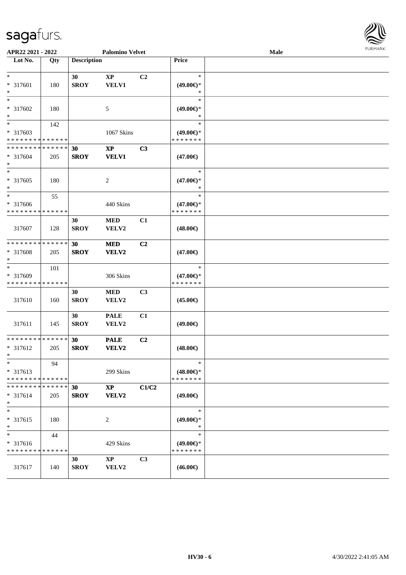

| APR22 2021 - 2022                                 |     |                    | <b>Palomino Velvet</b>          |       |                                                | Male | <b>LOKITAKV</b> |
|---------------------------------------------------|-----|--------------------|---------------------------------|-------|------------------------------------------------|------|-----------------|
| Lot No.                                           | Qty | <b>Description</b> |                                 |       | Price                                          |      |                 |
| $*$<br>* 317601<br>$\ast$                         | 180 | 30<br><b>SROY</b>  | $\bold{XP}$<br><b>VELV1</b>     | C2    | $\ast$<br>$(49.00\epsilon)$ *<br>$\ast$        |      |                 |
| $\ast$<br>* 317602<br>$*$                         | 180 |                    | 5                               |       | $\ast$<br>$(49.00\epsilon)$ *<br>$\ast$        |      |                 |
| $*$<br>* 317603<br>* * * * * * * * * * * * * *    | 142 |                    | 1067 Skins                      |       | $\ast$<br>$(49.00€)$ *<br>* * * * * * *        |      |                 |
| * * * * * * * * * * * * * *<br>* 317604<br>$\ast$ | 205 | 30<br><b>SROY</b>  | $\mathbf{XP}$<br><b>VELV1</b>   | C3    | $(47.00\epsilon)$                              |      |                 |
| $\overline{\phantom{0}}$<br>* 317605<br>$*$       | 180 |                    | 2                               |       | $\ast$<br>$(47.00\epsilon)$ *<br>*             |      |                 |
| $\ast$<br>* 317606<br>* * * * * * * * * * * * * * | 55  |                    | 440 Skins                       |       | $\ast$<br>$(47.00\epsilon)$ *<br>* * * * * * * |      |                 |
| 317607                                            | 128 | 30<br><b>SROY</b>  | <b>MED</b><br>VELV2             | C1    | $(48.00\epsilon)$                              |      |                 |
| * * * * * * * * * * * * * *<br>* 317608<br>$*$    | 205 | 30<br><b>SROY</b>  | <b>MED</b><br>VELV2             | C2    | $(47.00\epsilon)$                              |      |                 |
| $\ast$<br>* 317609<br>* * * * * * * * * * * * * * | 101 |                    | 306 Skins                       |       | $\ast$<br>$(47.00\epsilon)$ *<br>* * * * * * * |      |                 |
| 317610                                            | 160 | 30<br><b>SROY</b>  | <b>MED</b><br>VELV2             | C3    | $(45.00\epsilon)$                              |      |                 |
| 317611                                            | 145 | 30<br><b>SROY</b>  | <b>PALE</b><br>VELV2            | C1    | $(49.00\epsilon)$                              |      |                 |
| * * * * * * * * * * * * * *<br>* 317612<br>$x =$  | 205 | 30<br><b>SROY</b>  | <b>PALE</b><br>VELV2            | C2    | $(48.00\in)$                                   |      |                 |
| $*$<br>* 317613<br>* * * * * * * * * * * * * *    | 94  |                    | 299 Skins                       |       | $\ast$<br>$(48.00\epsilon)$ *<br>* * * * * * * |      |                 |
| * * * * * * * * * * * * * *<br>$* 317614$<br>$*$  | 205 | 30<br><b>SROY</b>  | $\mathbf{XP}$<br>VELV2          | C1/C2 | $(49.00\epsilon)$                              |      |                 |
| $*$<br>* 317615<br>$*$                            | 180 |                    | 2                               |       | $\ast$<br>$(49.00\epsilon)$ *<br>$\ast$        |      |                 |
| $*$<br>* 317616<br>* * * * * * * * * * * * * *    | 44  |                    | 429 Skins                       |       | $\ast$<br>$(49.00\epsilon)$ *<br>* * * * * * * |      |                 |
| 317617                                            | 140 | 30<br><b>SROY</b>  | $\mathbf{X}\mathbf{P}$<br>VELV2 | C3    | $(46.00\epsilon)$                              |      |                 |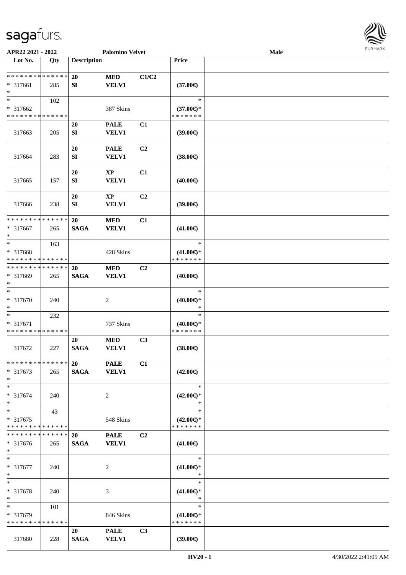

| APR22 2021 - 2022                                            |     |                          | <b>Palomino Velvet</b>                 |                |                                                | Male |  |
|--------------------------------------------------------------|-----|--------------------------|----------------------------------------|----------------|------------------------------------------------|------|--|
| Lot No.                                                      | Qty | <b>Description</b>       |                                        |                | Price                                          |      |  |
| **************<br>$* 317661$<br>$\ast$                       | 285 | 20<br>SI                 | <b>MED</b><br><b>VELV1</b>             | C1/C2          | $(37.00\epsilon)$                              |      |  |
| $\overline{\ast}$<br>* 317662<br>* * * * * * * * * * * * * * | 102 |                          | 387 Skins                              |                | $\ast$<br>$(37.00€)$ *<br>* * * * * * *        |      |  |
| 317663                                                       | 205 | <b>20</b><br>SI          | <b>PALE</b><br><b>VELV1</b>            | C1             | (39.00)                                        |      |  |
| 317664                                                       | 283 | 20<br>${\bf S}{\bf I}$   | <b>PALE</b><br><b>VELV1</b>            | C2             | $(38.00\epsilon)$                              |      |  |
| 317665                                                       | 157 | 20<br>${\bf SI}$         | $\bold{XP}$<br><b>VELV1</b>            | C1             | $(40.00\epsilon)$                              |      |  |
| 317666                                                       | 238 | <b>20</b><br>SI          | $\mathbf{X}\mathbf{P}$<br><b>VELV1</b> | C2             | (39.00)                                        |      |  |
| * * * * * * * * * * * * * *<br>$* 317667$<br>$\ast$          | 265 | 20<br><b>SAGA</b>        | <b>MED</b><br><b>VELV1</b>             | C1             | $(41.00\epsilon)$                              |      |  |
| $\ast$<br>* 317668<br>* * * * * * * * * * * * * *            | 163 |                          | 428 Skins                              |                | $\ast$<br>$(41.00\epsilon)$ *<br>* * * * * * * |      |  |
| * * * * * * * * * * * * * *<br>* 317669<br>$\ast$            | 265 | <b>20</b><br><b>SAGA</b> | <b>MED</b><br><b>VELV1</b>             | C <sub>2</sub> | $(40.00\epsilon)$                              |      |  |
| $\ast$<br>* 317670<br>∗                                      | 240 |                          | $\overline{c}$                         |                | $\ast$<br>$(40.00\epsilon)$ *<br>$\ast$        |      |  |
| $\ast$<br>* 317671<br>* * * * * * * * * * * * * *            | 232 |                          | 737 Skins                              |                | $\ast$<br>$(40.00\epsilon)$ *<br>* * * * * * * |      |  |
| 317672                                                       | 227 | 20<br><b>SAGA</b>        | $\bf MED$<br><b>VELV1</b>              | C3             | $(38.00\epsilon)$                              |      |  |
| * * * * * * * * * * * * * *<br>$* 317673$<br>$\ast$          | 265 | 20<br><b>SAGA</b>        | <b>PALE</b><br><b>VELV1</b>            | C1             | $(42.00\epsilon)$                              |      |  |
| $\ast$<br>* 317674<br>$\ast$                                 | 240 |                          | 2                                      |                | $\ast$<br>$(42.00\epsilon)$ *<br>$\ast$        |      |  |
| $\ast$<br>* 317675<br>* * * * * * * * * * * * * *            | 43  |                          | 548 Skins                              |                | $\ast$<br>$(42.00\epsilon)$ *<br>* * * * * * * |      |  |
| * * * * * * * * * * * * * *<br>$* 317676$<br>$*$             | 265 | 20<br><b>SAGA</b>        | <b>PALE</b><br><b>VELV1</b>            | C <sub>2</sub> | $(41.00\epsilon)$                              |      |  |
| $\ast$<br>$* 317677$<br>$*$                                  | 240 |                          | 2                                      |                | $\ast$<br>$(41.00\epsilon)$ *<br>$\ast$        |      |  |
| $\ast$<br>* 317678<br>$\ast$                                 | 240 |                          | 3                                      |                | $\ast$<br>$(41.00\epsilon)$ *<br>$\ast$        |      |  |
| $*$<br>* 317679<br>* * * * * * * * * * * * * *               | 101 |                          | 846 Skins                              |                | $\ast$<br>$(41.00\epsilon)$ *<br>* * * * * * * |      |  |
| 317680                                                       | 228 | 20<br><b>SAGA</b>        | <b>PALE</b><br><b>VELV1</b>            | C3             | (39.00)                                        |      |  |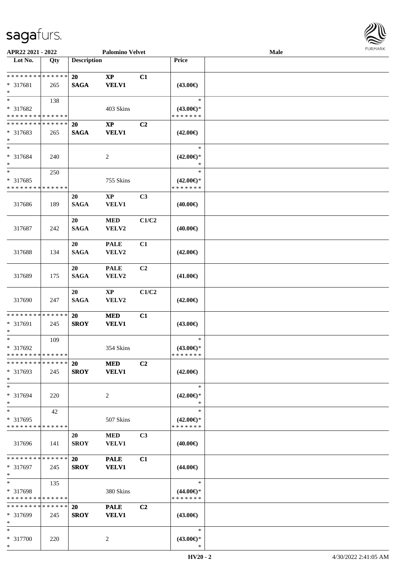

| APR22 2021 - 2022                                   |     |                          | <b>Palomino Velvet</b>                 |                |                                                | Male |  |
|-----------------------------------------------------|-----|--------------------------|----------------------------------------|----------------|------------------------------------------------|------|--|
| Lot No.                                             | Qty | <b>Description</b>       |                                        |                | Price                                          |      |  |
| **************<br>* 317681<br>$\ast$                | 265 | 20<br><b>SAGA</b>        | $\bold{XP}$<br><b>VELV1</b>            | C1             | $(43.00\epsilon)$                              |      |  |
| $\ast$<br>* 317682<br>* * * * * * * * * * * * * *   | 138 |                          | 403 Skins                              |                | $\ast$<br>$(43.00€)$ *<br>* * * * * * *        |      |  |
| * * * * * * * * * * * * * *<br>* 317683<br>$\ast$   | 265 | <b>20</b><br><b>SAGA</b> | $\mathbf{X}\mathbf{P}$<br><b>VELV1</b> | C <sub>2</sub> | $(42.00\epsilon)$                              |      |  |
| $\ast$<br>* 317684<br>$\ast$                        | 240 |                          | $\sqrt{2}$                             |                | $\ast$<br>$(42.00\epsilon)$ *<br>$\ast$        |      |  |
| $\ast$<br>* 317685<br>* * * * * * * * * * * * * *   | 250 |                          | 755 Skins                              |                | $\ast$<br>$(42.00\epsilon)$ *<br>* * * * * * * |      |  |
| 317686                                              | 189 | 20<br><b>SAGA</b>        | $\bold{XP}$<br><b>VELV1</b>            | C3             | $(40.00\epsilon)$                              |      |  |
| 317687                                              | 242 | 20<br><b>SAGA</b>        | <b>MED</b><br>VELV2                    | C1/C2          | $(40.00\epsilon)$                              |      |  |
| 317688                                              | 134 | 20<br><b>SAGA</b>        | <b>PALE</b><br>VELV2                   | C1             | $(42.00\epsilon)$                              |      |  |
| 317689                                              | 175 | 20<br><b>SAGA</b>        | <b>PALE</b><br>VELV2                   | C <sub>2</sub> | $(41.00\epsilon)$                              |      |  |
| 317690                                              | 247 | 20<br><b>SAGA</b>        | $\bold{XP}$<br>VELV2                   | C1/C2          | $(42.00\epsilon)$                              |      |  |
| * * * * * * * * * * * * * *<br>* 317691<br>$\ast$   | 245 | 20<br><b>SROY</b>        | <b>MED</b><br><b>VELV1</b>             | C1             | $(43.00\epsilon)$                              |      |  |
| $\ast$<br>* 317692<br>**************                | 109 |                          | 354 Skins                              |                | $\ast$<br>$(43.00\epsilon)$ *<br>* * * * * * * |      |  |
| * * * * * * * * * * * * * *<br>$* 317693$<br>$\ast$ | 245 | <b>20</b><br><b>SROY</b> | <b>MED</b><br><b>VELV1</b>             | C <sub>2</sub> | $(42.00\epsilon)$                              |      |  |
| $\ast$<br>* 317694<br>$\ast$                        | 220 |                          | 2                                      |                | $\ast$<br>$(42.00\epsilon)$ *<br>$\ast$        |      |  |
| $\ast$<br>* 317695<br>* * * * * * * * * * * * * *   | 42  |                          | 507 Skins                              |                | $\ast$<br>$(42.00\epsilon)$ *<br>* * * * * * * |      |  |
| 317696                                              | 141 | 20<br><b>SROY</b>        | <b>MED</b><br><b>VELV1</b>             | C3             | $(40.00\epsilon)$                              |      |  |
| * * * * * * * * * * * * * *<br>* 317697<br>$\ast$   | 245 | 20<br><b>SROY</b>        | <b>PALE</b><br><b>VELV1</b>            | C1             | $(44.00\epsilon)$                              |      |  |
| $\ast$<br>* 317698<br>* * * * * * * * * * * * * *   | 135 |                          | 380 Skins                              |                | $\ast$<br>$(44.00\epsilon)$ *<br>* * * * * * * |      |  |
| * * * * * * * * * * * * * *<br>* 317699<br>$\ast$   | 245 | 20<br><b>SROY</b>        | <b>PALE</b><br><b>VELV1</b>            | C <sub>2</sub> | $(43.00\epsilon)$                              |      |  |
| $*$<br>* 317700<br>$*$                              | 220 |                          | 2                                      |                | $\ast$<br>$(43.00\epsilon)$ *<br>$\ast$        |      |  |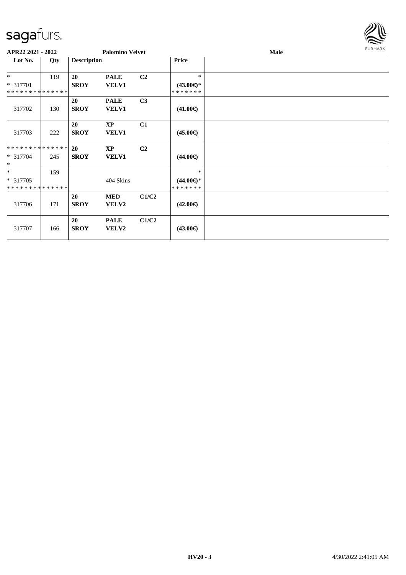

|                             | APR22 2021 - 2022 |                    | <b>Palomino Velvet</b> |                |                     | Male | <b>FURMARK</b> |
|-----------------------------|-------------------|--------------------|------------------------|----------------|---------------------|------|----------------|
| Lot No.                     | Qty               | <b>Description</b> |                        |                | <b>Price</b>        |      |                |
| $*$                         | 119               | 20                 | <b>PALE</b>            | C2             | $\ast$              |      |                |
| * 317701                    |                   | <b>SROY</b>        | VELV1                  |                | $(43.00\epsilon)$ * |      |                |
| **************              |                   |                    |                        |                | *******             |      |                |
|                             |                   | 20                 | <b>PALE</b>            | C3             |                     |      |                |
| 317702                      | 130               | <b>SROY</b>        | <b>VELV1</b>           |                | $(41.00\epsilon)$   |      |                |
|                             |                   |                    |                        |                |                     |      |                |
|                             |                   | 20                 | $\bold{XP}$            | C1             |                     |      |                |
| 317703                      | 222               | <b>SROY</b>        | VELV1                  |                | $(45.00\epsilon)$   |      |                |
| **************              |                   | <b>20</b>          | $\mathbf{X}\mathbf{P}$ | C <sub>2</sub> |                     |      |                |
| $* 317704$<br>$\ast$        | 245               | <b>SROY</b>        | <b>VELV1</b>           |                | $(44.00\epsilon)$   |      |                |
| $*$                         | 159               |                    |                        |                | $\ast$              |      |                |
| $*317705$                   |                   |                    | 404 Skins              |                | $(44.00\epsilon)$ * |      |                |
| * * * * * * * * * * * * * * |                   |                    |                        |                | *******             |      |                |
|                             |                   | <b>20</b>          | <b>MED</b>             | C1/C2          |                     |      |                |
| 317706                      | 171               | <b>SROY</b>        | VELV2                  |                | $(42.00\epsilon)$   |      |                |
|                             |                   | 20                 | <b>PALE</b>            | C1/C2          |                     |      |                |
| 317707                      | 166               | <b>SROY</b>        | VELV2                  |                | $(43.00\epsilon)$   |      |                |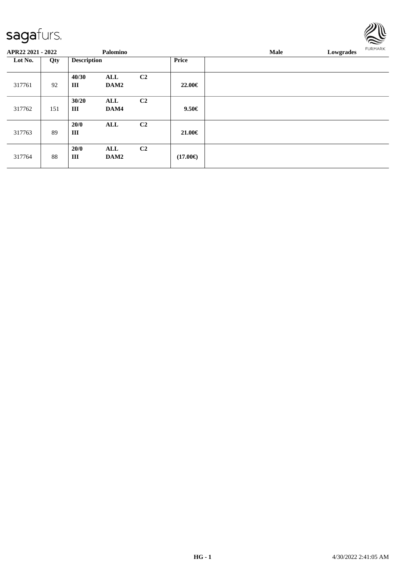#### sagafu

317764 88

**20/0 ALL C2**

| sagaturs.         |     |                    |             |                |              |      |           | $\mathbf{w}$<br>$\approx$ |
|-------------------|-----|--------------------|-------------|----------------|--------------|------|-----------|---------------------------|
| APR22 2021 - 2022 |     |                    | Palomino    |                |              | Male | Lowgrades | <b>FURMARK</b>            |
| Lot No.           | Qty | <b>Description</b> |             |                | <b>Price</b> |      |           |                           |
| 317761            | 92  | 40/30<br>Ш         | ALL<br>DAM2 | C <sub>2</sub> | 22.00€       |      |           |                           |
| 317762            | 151 | 30/20<br>Ш         | ALL<br>DAM4 | C <sub>2</sub> | $9.50 \in$   |      |           |                           |
| 317763            | 89  | <b>20/0</b><br>Ш   | ALL         | C <sub>2</sub> | 21.00€       |      |           |                           |

 $(17.00 \in)$ 

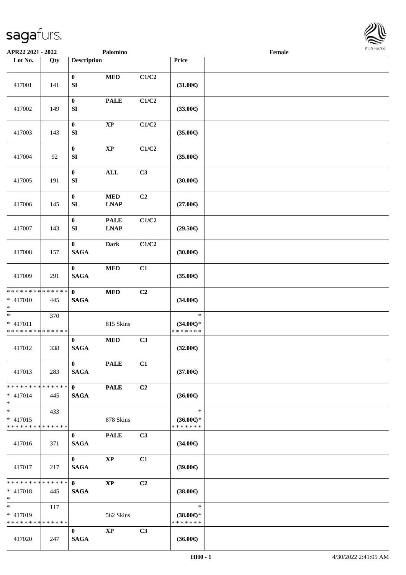

| APR22 2021 - 2022                                                   |     |                                 | Palomino                   |       |                                                | Female |  |
|---------------------------------------------------------------------|-----|---------------------------------|----------------------------|-------|------------------------------------------------|--------|--|
| Lot No.                                                             | Qty | <b>Description</b>              |                            |       | Price                                          |        |  |
| 417001                                                              | 141 | $\bf{0}$<br>SI                  | $\bf MED$                  | C1/C2 | $(31.00\epsilon)$                              |        |  |
| 417002                                                              | 149 | $\bf{0}$<br>SI                  | <b>PALE</b>                | C1/C2 | $(33.00\epsilon)$                              |        |  |
| 417003                                                              | 143 | $\boldsymbol{0}$<br>SI          | $\bold{XP}$                | C1/C2 | $(35.00\epsilon)$                              |        |  |
| 417004                                                              | 92  | $\bf{0}$<br>SI                  | $\bold{XP}$                | C1/C2 | $(35.00\epsilon)$                              |        |  |
| 417005                                                              | 191 | $\bf{0}$<br>SI                  | <b>ALL</b>                 | C3    | (30.00)                                        |        |  |
| 417006                                                              | 145 | $\bf{0}$<br>SI                  | $\bf MED$<br><b>LNAP</b>   | C2    | $(27.00\in)$                                   |        |  |
| 417007                                                              | 143 | $\bf{0}$<br>${\bf SI}$          | <b>PALE</b><br><b>LNAP</b> | C1/C2 | $(29.50\epsilon)$                              |        |  |
| 417008                                                              | 157 | $\bf{0}$<br><b>SAGA</b>         | <b>Dark</b>                | C1/C2 | (30.00)                                        |        |  |
| 417009                                                              | 291 | $\bf{0}$<br><b>SAGA</b>         | $\bf MED$                  | C1    | $(35.00\in)$                                   |        |  |
| * * * * * * * * * * * * * *<br>* 417010<br>$*$                      | 445 | $\mathbf{0}$<br>$\mathbf{SAGA}$ | $\bf MED$                  | C2    | $(34.00\epsilon)$                              |        |  |
| $\overline{\phantom{0}}$<br>* 417011<br>* * * * * * * * * * * * * * | 370 |                                 | 815 Skins                  |       | $\ast$<br>$(34.00\epsilon)$ *<br>* * * * * * * |        |  |
| 417012                                                              | 338 | $\bf{0}$<br><b>SAGA</b>         | $\bf MED$                  | C3    | $(32.00\epsilon)$                              |        |  |
| 417013                                                              | 283 | $\bf{0}$<br><b>SAGA</b>         | <b>PALE</b>                | C1    | $(37.00\epsilon)$                              |        |  |
| * * * * * * * * <mark>* * * * * * *</mark><br>$* 417014$<br>$*$     | 445 | $\mathbf{0}$<br><b>SAGA</b>     | <b>PALE</b>                | C2    | $(36.00\epsilon)$                              |        |  |
| $*$<br>$* 417015$<br>* * * * * * * * * * * * * *                    | 433 |                                 | 878 Skins                  |       | $\ast$<br>$(36.00\epsilon)$ *<br>* * * * * * * |        |  |
| 417016                                                              | 371 | $\bf{0}$<br><b>SAGA</b>         | <b>PALE</b>                | C3    | $(34.00\epsilon)$                              |        |  |
| 417017                                                              | 217 | $\mathbf{0}$<br><b>SAGA</b>     | <b>XP</b>                  | C1    | $(39.00\epsilon)$                              |        |  |
| * * * * * * * * * * * * * * *<br>* 417018<br>$*$                    | 445 | $\mathbf{0}$<br><b>SAGA</b>     | $\mathbf{X}\mathbf{P}$     | C2    | $(38.00\epsilon)$                              |        |  |
| $*$ $*$<br>* 417019<br>* * * * * * * * * * * * * *                  | 117 |                                 | 562 Skins                  |       | $\ast$<br>$(38.00€)$ *<br>* * * * * * *        |        |  |
| 417020                                                              | 247 | $\bf{0}$<br><b>SAGA</b>         | $\mathbf{XP}$              | C3    | $(36.00\epsilon)$                              |        |  |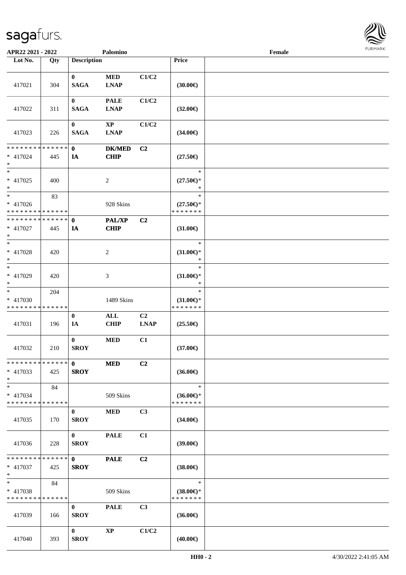

| APR22 2021 - 2022                                   |     |                             | Palomino                              |                   |                                                           | Female |  |
|-----------------------------------------------------|-----|-----------------------------|---------------------------------------|-------------------|-----------------------------------------------------------|--------|--|
| Lot No.                                             | Qty | <b>Description</b>          |                                       |                   | Price                                                     |        |  |
| 417021                                              | 304 | $\mathbf{0}$<br><b>SAGA</b> | <b>MED</b><br><b>LNAP</b>             | C1/C2             | (30.00)                                                   |        |  |
| 417022                                              | 311 | $\mathbf{0}$<br><b>SAGA</b> | <b>PALE</b><br><b>LNAP</b>            | C1/C2             | $(32.00\epsilon)$                                         |        |  |
| 417023                                              | 226 | $\bf{0}$<br><b>SAGA</b>     | $\mathbf{X}\mathbf{P}$<br><b>LNAP</b> | C1/C2             | $(34.00\epsilon)$                                         |        |  |
| * * * * * * * * * * * * * *<br>* 417024<br>$*$      | 445 | $\mathbf{0}$<br>IA          | <b>DK/MED</b><br><b>CHIP</b>          | C2                | $(27.50\epsilon)$                                         |        |  |
| $*$<br>$* 417025$<br>$\ast$                         | 400 |                             | $\sqrt{2}$                            |                   | $\ast$<br>$(27.50\epsilon)$ *<br>$\ast$                   |        |  |
| $\ast$<br>$* 417026$<br>* * * * * * * * * * * * * * | 83  |                             | 928 Skins                             |                   | $\ast$<br>$(27.50\mathnormal{\infty})^*$<br>* * * * * * * |        |  |
| * * * * * * * * * * * * * *<br>* 417027<br>$*$      | 445 | $\mathbf{0}$<br>IA          | <b>PAL/XP</b><br>CHIP                 | C2                | $(31.00\epsilon)$                                         |        |  |
| $*$<br>* 417028<br>$*$                              | 420 |                             | $\overline{c}$                        |                   | $\ast$<br>$(31.00\epsilon)$ *<br>∗                        |        |  |
| $\ast$<br>$* 417029$<br>$*$                         | 420 |                             | 3                                     |                   | $\ast$<br>$(31.00\epsilon)$ *<br>$\ast$                   |        |  |
| $\ast$<br>* 417030<br>* * * * * * * * * * * * * *   | 204 |                             | 1489 Skins                            |                   | $\ast$<br>$(31.00\epsilon)$ *<br>* * * * * * *            |        |  |
| 417031                                              | 196 | $\bf{0}$<br>IA              | $\mathbf{ALL}$<br><b>CHIP</b>         | C2<br><b>LNAP</b> | $(25.50\epsilon)$                                         |        |  |
| 417032                                              | 210 | $\bf{0}$<br><b>SROY</b>     | $\bf MED$                             | C1                | $(37.00\epsilon)$                                         |        |  |
| **************<br>$* 417033$<br>$*$                 | 425 | $\mathbf{0}$<br><b>SROY</b> | <b>MED</b>                            | C2                | $(36.00\epsilon)$                                         |        |  |
| $*$<br>* 417034<br>* * * * * * * * * * * * * *      | 84  |                             | 509 Skins                             |                   | $\ast$<br>$(36.00\epsilon)$ *<br>* * * * * * *            |        |  |
| 417035                                              | 170 | $\bf{0}$<br><b>SROY</b>     | <b>MED</b>                            | C3                | $(34.00\epsilon)$                                         |        |  |
| 417036                                              | 228 | $\mathbf{0}$<br><b>SROY</b> | <b>PALE</b>                           | C1                | $(39.00\epsilon)$                                         |        |  |
| * * * * * * * * * * * * * * *<br>$* 417037$<br>$*$  | 425 | $\mathbf{0}$<br><b>SROY</b> | <b>PALE</b>                           | C2                | $(38.00\epsilon)$                                         |        |  |
| $*$<br>* 417038<br>* * * * * * * * * * * * * *      | 84  |                             | 509 Skins                             |                   | $\ast$<br>$(38.00\epsilon)$ *<br>* * * * * * *            |        |  |
| 417039                                              | 166 | $\bf{0}$<br><b>SROY</b>     | <b>PALE</b>                           | C3                | $(36.00\epsilon)$                                         |        |  |
| 417040                                              | 393 | $\bf{0}$<br><b>SROY</b>     | $\mathbf{X}\mathbf{P}$                | C1/C2             | $(40.00\epsilon)$                                         |        |  |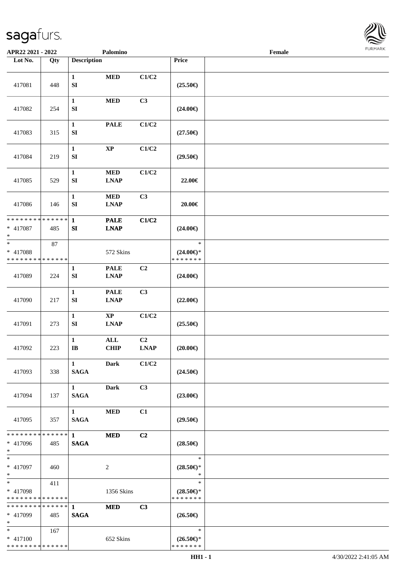

| APR22 2021 - 2022                                 |        |                                       | Palomino                                                  |                               |                                                | Female |  |
|---------------------------------------------------|--------|---------------------------------------|-----------------------------------------------------------|-------------------------------|------------------------------------------------|--------|--|
| Lot No.                                           | Qty    | <b>Description</b>                    |                                                           |                               | Price                                          |        |  |
| 417081                                            | 448    | $\mathbf{1}$<br>${\bf S}{\bf I}$      | $\bf MED$                                                 | C1/C2                         | $(25.50\epsilon)$                              |        |  |
| 417082                                            | 254    | $\mathbf{1}$<br>${\bf S}{\bf I}$      | <b>MED</b>                                                | C3                            | $(24.00\epsilon)$                              |        |  |
| 417083                                            | 315    | $\mathbf{1}$<br>${\bf S}{\bf I}$      | <b>PALE</b>                                               | C1/C2                         | $(27.50\epsilon)$                              |        |  |
| 417084                                            | 219    | $\mathbf{1}$<br>${\bf S}{\bf I}$      | $\bold{XP}$                                               | C1/C2                         | $(29.50\epsilon)$                              |        |  |
| 417085                                            | 529    | $\mathbf{1}$<br>${\bf SI}$            | $\bf MED$<br><b>LNAP</b>                                  | C1/C2                         | 22.00€                                         |        |  |
| 417086                                            | 146    | $\mathbf{1}$<br>${\bf SI}$            | $\bf MED$<br><b>LNAP</b>                                  | C3                            | $20.00 \in$                                    |        |  |
| * * * * * * * * * * * * * *<br>* 417087<br>$*$    | 485    | 1<br>${\bf S}{\bf I}$                 | <b>PALE</b><br><b>LNAP</b>                                | C1/C2                         | $(24.00\epsilon)$                              |        |  |
| $\ast$<br>* 417088<br>* * * * * * * * * * * * * * | $87\,$ |                                       | 572 Skins                                                 |                               | $\ast$<br>$(24.00\epsilon)$ *<br>* * * * * * * |        |  |
| 417089                                            | 224    | 1<br>${\bf S}{\bf I}$                 | <b>PALE</b><br><b>LNAP</b>                                | C <sub>2</sub>                | $(24.00\epsilon)$                              |        |  |
| 417090                                            | 217    | $\mathbf{1}$<br>${\bf S}{\bf I}$      | <b>PALE</b><br><b>LNAP</b>                                | C3                            | $(22.00\epsilon)$                              |        |  |
| 417091                                            | 273    | $\mathbf{1}$<br>${\bf S}{\bf I}$      | $\bold{XP}$<br>$\mathbf{L}\mathbf{N}\mathbf{A}\mathbf{P}$ | C1/C2                         | $(25.50\epsilon)$                              |        |  |
| 417092                                            | 223    | $\mathbf{1}$<br>$\bf IB$              | $\mathbf{ALL}$<br><b>CHIP</b>                             | C <sub>2</sub><br><b>LNAP</b> | $(20.00\epsilon)$                              |        |  |
| 417093                                            | 338    | $\mathbf{1}$<br><b>SAGA</b>           | <b>Dark</b>                                               | C1/C2                         | $(24.50\epsilon)$                              |        |  |
| 417094                                            | 137    | $1 \quad \blacksquare$<br><b>SAGA</b> | Dark                                                      | C <sub>3</sub>                | $(23.00\epsilon)$                              |        |  |
| 417095                                            | 357    | $\mathbf{1}$<br><b>SAGA</b>           | <b>MED</b>                                                | C1                            | $(29.50\epsilon)$                              |        |  |
| * * * * * * * * * * * * * * *<br>* 417096<br>$*$  | 485    | $\mathbf 1$<br><b>SAGA</b>            | <b>MED</b>                                                | C2                            | $(28.50\epsilon)$                              |        |  |
| $*$<br>* 417097<br>$*$                            | 460    |                                       | 2                                                         |                               | $\ast$<br>$(28.50\epsilon)$ *<br>$\ast$        |        |  |
| $*$<br>* 417098<br>* * * * * * * * * * * * * *    | 411    |                                       | 1356 Skins                                                |                               | $\ast$<br>$(28.50\epsilon)$ *<br>* * * * * * * |        |  |
| * * * * * * * * * * * * * * *<br>* 417099<br>$*$  | 485    | $\mathbf{1}$<br><b>SAGA</b>           | <b>MED</b>                                                | C3                            | $(26.50\epsilon)$                              |        |  |
| $*$<br>* 417100<br>* * * * * * * * * * * * * *    | 167    |                                       | 652 Skins                                                 |                               | $\ast$<br>$(26.50\epsilon)$ *<br>* * * * * * * |        |  |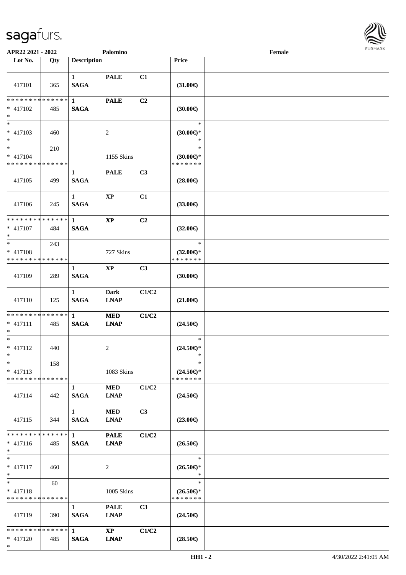

| APR22 2021 - 2022                                                  |     |                                       | Palomino                              |                |                                                | Female |  |
|--------------------------------------------------------------------|-----|---------------------------------------|---------------------------------------|----------------|------------------------------------------------|--------|--|
| Lot No.                                                            | Qty | <b>Description</b>                    |                                       |                | Price                                          |        |  |
| 417101                                                             | 365 | $\mathbf{1}$<br><b>SAGA</b>           | <b>PALE</b>                           | C1             | $(31.00\epsilon)$                              |        |  |
| * * * * * * * * * * * * * * <mark>*</mark><br>$* 417102$<br>$*$    | 485 | $\mathbf{1}$<br><b>SAGA</b>           | <b>PALE</b>                           | C <sub>2</sub> | (30.00)                                        |        |  |
| $\overline{\phantom{0}}$<br>* 417103<br>$*$                        | 460 |                                       | 2                                     |                | $\ast$<br>$(30.00\epsilon)$ *<br>*             |        |  |
| $*$<br>* 417104<br>* * * * * * * * * * * * * *                     | 210 |                                       | 1155 Skins                            |                | $\ast$<br>$(30.00\epsilon)$ *<br>* * * * * * * |        |  |
| 417105                                                             | 499 | $\mathbf{1}$<br><b>SAGA</b>           | <b>PALE</b>                           | C3             | $(28.00\epsilon)$                              |        |  |
| 417106                                                             | 245 | $\mathbf{1}$<br><b>SAGA</b>           | $\bold{XP}$                           | C1             | $(33.00\epsilon)$                              |        |  |
| * * * * * * * * <mark>* * * * * *</mark><br>* 417107<br>$\ast$     | 484 | $\mathbf{1}$<br><b>SAGA</b>           | $\mathbf{X}\mathbf{P}$                | C2             | $(32.00\epsilon)$                              |        |  |
| $*$<br>* 417108<br>* * * * * * * * * * * * * *                     | 243 |                                       | 727 Skins                             |                | $\ast$<br>$(32.00\epsilon)$ *<br>* * * * * * * |        |  |
| 417109                                                             | 289 | 1<br><b>SAGA</b>                      | <b>XP</b>                             | C <sub>3</sub> | (30.00)                                        |        |  |
| 417110                                                             | 125 | $\mathbf{1}$<br><b>SAGA</b>           | <b>Dark</b><br><b>LNAP</b>            | C1/C2          | $(21.00\epsilon)$                              |        |  |
| * * * * * * * * <mark>* * * * * *</mark><br>$* 417111$<br>$*$      | 485 | $\mathbf{1}$<br><b>SAGA</b>           | <b>MED</b><br><b>LNAP</b>             | C1/C2          | $(24.50\epsilon)$                              |        |  |
| $*$<br>* 417112<br>$*$ $-$                                         | 440 |                                       | 2                                     |                | $\ast$<br>$(24.50\epsilon)$ *<br>$\ast$        |        |  |
| $\ast$<br>$* 417113$<br>* * * * * * * * <mark>* * * * * * *</mark> | 158 |                                       | 1083 Skins                            |                | $\ast$<br>$(24.50\epsilon)$ *<br>* * * * * * * |        |  |
| 417114                                                             | 442 | 1<br><b>SAGA</b>                      | <b>MED</b><br><b>LNAP</b>             | C1/C2          | $(24.50\epsilon)$                              |        |  |
| 417115                                                             | 344 | $\mathbf{1}$<br><b>SAGA</b>           | <b>MED</b><br><b>LNAP</b>             | C3             | $(23.00\epsilon)$                              |        |  |
| * * * * * * * * <mark>* * * * * *</mark> *<br>$* 417116$<br>$*$    | 485 | $1 \quad \blacksquare$<br><b>SAGA</b> | <b>PALE</b><br><b>LNAP</b>            | C1/C2          | $(26.50\epsilon)$                              |        |  |
| $*$<br>* 417117<br>$*$                                             | 460 |                                       | 2                                     |                | $\ast$<br>$(26.50\epsilon)$ *<br>$\ast$        |        |  |
| $*$ $-$<br>$* 417118$<br>* * * * * * * * * * * * * *               | 60  |                                       | 1005 Skins                            |                | $\ast$<br>$(26.50\epsilon)$ *<br>* * * * * * * |        |  |
| 417119                                                             | 390 | $\mathbf{1}$<br><b>SAGA</b>           | <b>PALE</b><br><b>LNAP</b>            | C3             | $(24.50\epsilon)$                              |        |  |
| * * * * * * * * * * * * * * <mark>*</mark><br>* 417120<br>$\ast$   | 485 | $\mathbf{1}$<br><b>SAGA</b>           | $\mathbf{X}\mathbf{P}$<br><b>LNAP</b> | C1/C2          | $(28.50\epsilon)$                              |        |  |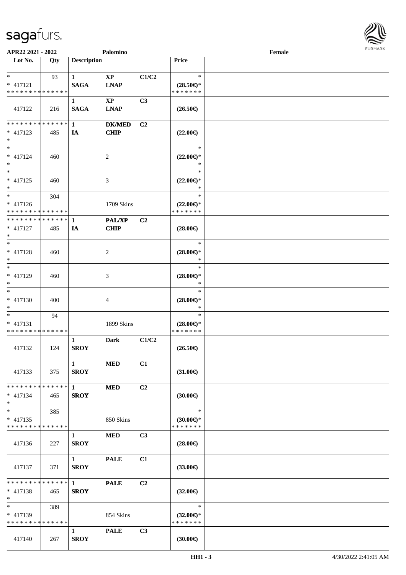

| APR22 2021 - 2022                             |     |                    | Palomino               |                |                                      | Female |  |
|-----------------------------------------------|-----|--------------------|------------------------|----------------|--------------------------------------|--------|--|
| Lot No.                                       | Qty | <b>Description</b> |                        |                | Price                                |        |  |
|                                               |     |                    |                        |                |                                      |        |  |
| $\ast$<br>$* 417121$                          | 93  | $\mathbf{1}$       | $\mathbf{XP}$          | C1/C2          | $\ast$                               |        |  |
| * * * * * * * * * * * * * *                   |     | <b>SAGA</b>        | <b>LNAP</b>            |                | $(28.50\epsilon)$ *<br>* * * * * * * |        |  |
|                                               |     | 1                  | $\mathbf{X}\mathbf{P}$ | C <sub>3</sub> |                                      |        |  |
| 417122                                        | 216 | <b>SAGA</b>        | <b>LNAP</b>            |                | $(26.50\epsilon)$                    |        |  |
| * * * * * * * * * * * * * *                   |     | $\mathbf{1}$       | <b>DK/MED</b>          | C <sub>2</sub> |                                      |        |  |
| $* 417123$                                    | 485 | IA                 | <b>CHIP</b>            |                | $(22.00\epsilon)$                    |        |  |
| $\ast$                                        |     |                    |                        |                |                                      |        |  |
| $\overline{\ }$                               |     |                    |                        |                | $\ast$                               |        |  |
| $* 417124$<br>$\ast$                          | 460 |                    | $\sqrt{2}$             |                | $(22.00\epsilon)$ *<br>$\ast$        |        |  |
| $\ast$                                        |     |                    |                        |                | $\ast$                               |        |  |
| $* 417125$                                    | 460 |                    | $\mathfrak{Z}$         |                | $(22.00\epsilon)$ *                  |        |  |
| $\ast$                                        |     |                    |                        |                | $\ast$                               |        |  |
| $\ast$                                        | 304 |                    |                        |                | $\ast$                               |        |  |
| $* 417126$                                    |     |                    | 1709 Skins             |                | $(22.00\epsilon)$ *                  |        |  |
| * * * * * * * * * * * * * *<br>************** |     |                    | <b>PAL/XP</b>          |                | * * * * * * *                        |        |  |
| $* 417127$                                    | 485 | 1<br>IA            | <b>CHIP</b>            | C <sub>2</sub> | $(28.00\epsilon)$                    |        |  |
| $\ast$                                        |     |                    |                        |                |                                      |        |  |
| $*$                                           |     |                    |                        |                | $\ast$                               |        |  |
| * 417128                                      | 460 |                    | $\overline{c}$         |                | $(28.00\epsilon)$ *                  |        |  |
| $\ast$                                        |     |                    |                        |                | $\ast$                               |        |  |
| $\ast$<br>$* 417129$                          |     |                    |                        |                | $\ast$                               |        |  |
| $\ast$                                        | 460 |                    | 3                      |                | $(28.00\epsilon)$ *<br>$\ast$        |        |  |
| $\ast$                                        |     |                    |                        |                | $\ast$                               |        |  |
| $* 417130$                                    | 400 |                    | 4                      |                | $(28.00\epsilon)$ *                  |        |  |
| $\ast$                                        |     |                    |                        |                | $\ast$                               |        |  |
| $*$                                           | 94  |                    |                        |                | $\ast$                               |        |  |
| $* 417131$<br>* * * * * * * * * * * * * *     |     |                    | 1899 Skins             |                | $(28.00\epsilon)$ *<br>* * * * * * * |        |  |
|                                               |     | 1                  | Dark                   | C1/C2          |                                      |        |  |
| 417132                                        | 124 | <b>SROY</b>        |                        |                | $(26.50\epsilon)$                    |        |  |
|                                               |     |                    |                        |                |                                      |        |  |
|                                               |     | $\mathbf{1}$       | <b>MED</b>             | C1             |                                      |        |  |
| 417133                                        | 375 | <b>SROY</b>        |                        |                | $(31.00\in)$                         |        |  |
| * * * * * * * * * * * * * * *                 |     | $\mathbf{1}$       | <b>MED</b>             | C <sub>2</sub> |                                      |        |  |
| $* 417134$                                    | 465 | <b>SROY</b>        |                        |                | $(30.00\epsilon)$                    |        |  |
| $*$                                           |     |                    |                        |                |                                      |        |  |
| $\ast$                                        | 385 |                    |                        |                | $\ast$                               |        |  |
| $* 417135$                                    |     |                    | 850 Skins              |                | $(30.00\epsilon)$ *                  |        |  |
| * * * * * * * * * * * * * *                   |     |                    |                        |                | * * * * * * *                        |        |  |
| 417136                                        | 227 | 1<br><b>SROY</b>   | <b>MED</b>             | C <sub>3</sub> | $(28.00\epsilon)$                    |        |  |
|                                               |     |                    |                        |                |                                      |        |  |
|                                               |     | $1 \quad$          | <b>PALE</b>            | C1             |                                      |        |  |
| 417137                                        | 371 | <b>SROY</b>        |                        |                | $(33.00\epsilon)$                    |        |  |
|                                               |     |                    |                        |                |                                      |        |  |
| * * * * * * * * * * * * * * *                 |     | $\mathbf{1}$       | <b>PALE</b>            | C <sub>2</sub> |                                      |        |  |
| $* 417138$<br>$*$                             | 465 | <b>SROY</b>        |                        |                | $(32.00\epsilon)$                    |        |  |
| $\ast$                                        | 389 |                    |                        |                | $\ast$                               |        |  |
| $* 417139$                                    |     |                    | 854 Skins              |                | $(32.00\epsilon)$ *                  |        |  |
| * * * * * * * * * * * * * *                   |     |                    |                        |                | * * * * * * *                        |        |  |
|                                               |     | $\mathbf{1}$       | <b>PALE</b>            | C3             |                                      |        |  |
| 417140                                        | 267 | <b>SROY</b>        |                        |                | (30.00)                              |        |  |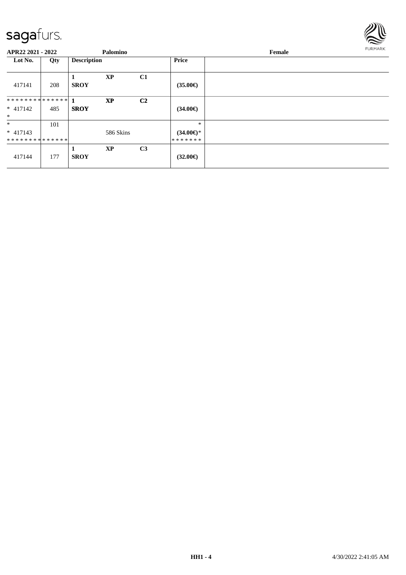

| APR22 2021 - 2022                      |     |                    | Palomino  |                |                                          | Female | <b>FURMARK</b> |
|----------------------------------------|-----|--------------------|-----------|----------------|------------------------------------------|--------|----------------|
| Lot No.                                | Qty | <b>Description</b> |           |                | <b>Price</b>                             |        |                |
| 417141                                 | 208 | <b>SROY</b>        | <b>XP</b> | C1             | $(35.00\epsilon)$                        |        |                |
| $* 417142$<br>$\ast$                   | 485 | <b>SROY</b>        | <b>XP</b> | C <sub>2</sub> | $(34.00\epsilon)$                        |        |                |
| $\ast$<br>$* 417143$<br>************** | 101 |                    | 586 Skins |                | $\ast$<br>$(34.00\epsilon)$ *<br>******* |        |                |
| 417144                                 | 177 | <b>SROY</b>        | XP        | C <sub>3</sub> | $(32.00\epsilon)$                        |        |                |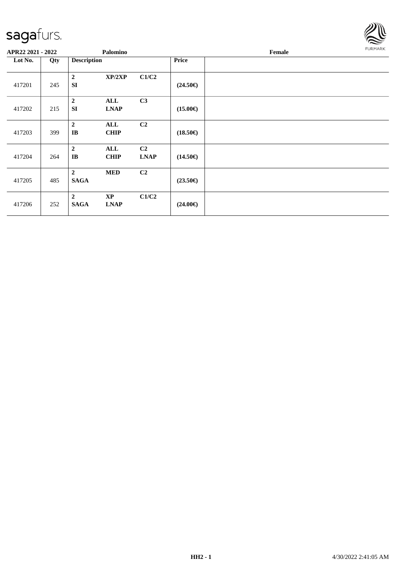

| APR22 2021 - 2022 |     |                               | Palomino                              |                               |                   | Female | FURMARK |
|-------------------|-----|-------------------------------|---------------------------------------|-------------------------------|-------------------|--------|---------|
| Lot No.           | Qty | <b>Description</b>            |                                       |                               | <b>Price</b>      |        |         |
| 417201            | 245 | $\mathbf 2$<br><b>SI</b>      | XP/2XP                                | C1/C2                         | $(24.50\epsilon)$ |        |         |
| 417202            | 215 | $\boldsymbol{2}$<br><b>SI</b> | <b>ALL</b><br><b>LNAP</b>             | C3                            | $(15.00\epsilon)$ |        |         |
| 417203            | 399 | $\overline{2}$<br>IB          | ALL<br><b>CHIP</b>                    | C <sub>2</sub>                | $(18.50\epsilon)$ |        |         |
| 417204            | 264 | $\boldsymbol{2}$<br>$\bf IB$  | ALL<br><b>CHIP</b>                    | C <sub>2</sub><br><b>LNAP</b> | $(14.50\epsilon)$ |        |         |
| 417205            | 485 | $\overline{2}$<br><b>SAGA</b> | <b>MED</b>                            | C <sub>2</sub>                | $(23.50\epsilon)$ |        |         |
| 417206            | 252 | $\overline{2}$<br><b>SAGA</b> | $\mathbf{X}\mathbf{P}$<br><b>LNAP</b> | C1/C2                         | $(24.00\epsilon)$ |        |         |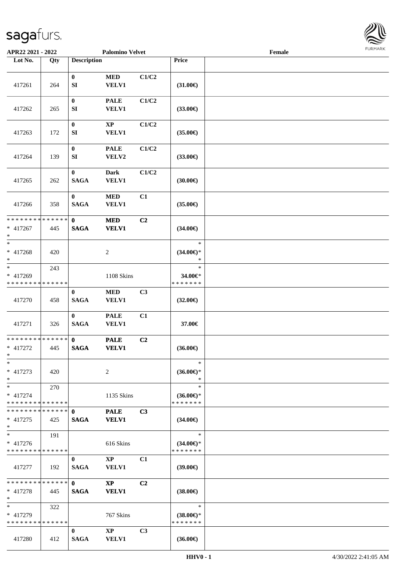

| APR22 2021 - 2022                                  |     |                              | <b>Palomino Velvet</b>                 |                |                                                | $\ensuremath{\textnormal{\textbf{Female}}}$ | 1.911171777 |
|----------------------------------------------------|-----|------------------------------|----------------------------------------|----------------|------------------------------------------------|---------------------------------------------|-------------|
| Lot No.                                            | Qty | <b>Description</b>           |                                        |                | Price                                          |                                             |             |
| 417261                                             | 264 | $\boldsymbol{0}$<br>SI       | $\bf MED$<br><b>VELV1</b>              | C1/C2          | $(31.00\epsilon)$                              |                                             |             |
| 417262                                             | 265 | $\bf{0}$<br>${\bf S}{\bf I}$ | <b>PALE</b><br><b>VELV1</b>            | C1/C2          | $(33.00\epsilon)$                              |                                             |             |
| 417263                                             | 172 | $\boldsymbol{0}$<br>SI       | $\mathbf{XP}$<br><b>VELV1</b>          | C1/C2          | $(35.00\epsilon)$                              |                                             |             |
| 417264                                             | 139 | $\boldsymbol{0}$<br>SI       | <b>PALE</b><br>VELV2                   | C1/C2          | $(33.00\epsilon)$                              |                                             |             |
| 417265                                             | 262 | $\bf{0}$<br><b>SAGA</b>      | <b>Dark</b><br><b>VELV1</b>            | C1/C2          | (30.00)                                        |                                             |             |
| 417266                                             | 358 | $\bf{0}$<br><b>SAGA</b>      | $\bf MED$<br><b>VELV1</b>              | C1             | $(35.00\epsilon)$                              |                                             |             |
| * * * * * * * * * * * * * *<br>$* 417267$<br>$*$   | 445 | $\mathbf 0$<br><b>SAGA</b>   | $\bf MED$<br><b>VELV1</b>              | C2             | $(34.00\epsilon)$                              |                                             |             |
| $\overline{\ast}$<br>* 417268<br>$*$               | 420 |                              | 2                                      |                | $\ast$<br>$(34.00\epsilon)$ *<br>$\ast$        |                                             |             |
| $*$<br>* 417269<br>* * * * * * * * * * * * * *     | 243 |                              | 1108 Skins                             |                | $\ast$<br>34.00€*<br>* * * * * * *             |                                             |             |
| 417270                                             | 458 | $\bf{0}$<br><b>SAGA</b>      | $\bf MED$<br>VELV1                     | C3             | $(32.00\epsilon)$                              |                                             |             |
| 417271                                             | 326 | $\bf{0}$<br><b>SAGA</b>      | <b>PALE</b><br><b>VELV1</b>            | C1             | 37.00€                                         |                                             |             |
| * * * * * * * * * * * * * *<br>* 417272<br>$*$     | 445 | $\mathbf{0}$<br><b>SAGA</b>  | <b>PALE</b><br><b>VELV1</b>            | C <sub>2</sub> | $(36.00\epsilon)$                              |                                             |             |
| $*$<br>$* 417273$<br>$\ast$                        | 420 |                              | 2                                      |                | $\ast$<br>$(36.00\epsilon)$ *<br>$\ast$        |                                             |             |
| $*$<br>$* 417274$<br>* * * * * * * * * * * * * * * | 270 |                              | 1135 Skins                             |                | $\ast$<br>$(36.00\epsilon)$ *<br>* * * * * * * |                                             |             |
| * * * * * * * * * * * * * * *<br>$* 417275$<br>$*$ | 425 | $\mathbf{0}$<br><b>SAGA</b>  | <b>PALE</b><br><b>VELV1</b>            | C3             | $(34.00\epsilon)$                              |                                             |             |
| $*$<br>$* 417276$<br>* * * * * * * * * * * * * *   | 191 |                              | 616 Skins                              |                | $\ast$<br>$(34.00€)$ *<br>* * * * * * *        |                                             |             |
| 417277                                             | 192 | $\bf{0}$<br><b>SAGA</b>      | $\mathbf{X}\mathbf{P}$<br><b>VELV1</b> | C1             | $(39.00\epsilon)$                              |                                             |             |
| * * * * * * * * * * * * * * *<br>* 417278<br>$*$   | 445 | $\mathbf{0}$<br><b>SAGA</b>  | $\mathbf{X}\mathbf{P}$<br><b>VELV1</b> | C <sub>2</sub> | $(38.00\epsilon)$                              |                                             |             |
| $*$ $-$<br>* 417279<br>* * * * * * * * * * * * * * | 322 |                              | 767 Skins                              |                | $\ast$<br>$(38.00\epsilon)$ *<br>* * * * * * * |                                             |             |
| 417280                                             | 412 | $\bf{0}$<br><b>SAGA</b>      | $\mathbf{X}\mathbf{P}$<br><b>VELV1</b> | C3             | $(36.00\epsilon)$                              |                                             |             |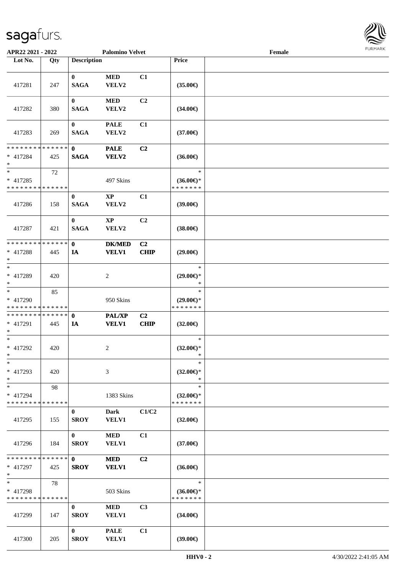

| APR22 2021 - 2022                                                  |     |                             | <b>Palomino Velvet</b>        |                        |                                                | Female |  |
|--------------------------------------------------------------------|-----|-----------------------------|-------------------------------|------------------------|------------------------------------------------|--------|--|
| Lot No.                                                            | Qty | <b>Description</b>          |                               |                        | Price                                          |        |  |
| 417281                                                             | 247 | $\mathbf{0}$<br><b>SAGA</b> | <b>MED</b><br>VELV2           | C1                     | $(35.00\epsilon)$                              |        |  |
| 417282                                                             | 380 | $\bf{0}$<br><b>SAGA</b>     | $\bf MED$<br>VELV2            | C2                     | $(34.00\epsilon)$                              |        |  |
| 417283                                                             | 269 | $\bf{0}$<br><b>SAGA</b>     | <b>PALE</b><br>VELV2          | C1                     | $(37.00\epsilon)$                              |        |  |
| * * * * * * * * * * * * * * *<br>* 417284<br>$\ast$                | 425 | $\mathbf{0}$<br><b>SAGA</b> | <b>PALE</b><br>VELV2          | C <sub>2</sub>         | $(36.00\epsilon)$                              |        |  |
| $\ast$<br>$* 417285$<br>* * * * * * * * <mark>* * * * * * *</mark> | 72  |                             | 497 Skins                     |                        | $\ast$<br>$(36.00\epsilon)$ *<br>* * * * * * * |        |  |
| 417286                                                             | 158 | $\bf{0}$<br><b>SAGA</b>     | $\mathbf{XP}$<br>VELV2        | C1                     | (39.00)                                        |        |  |
| 417287                                                             | 421 | $\bf{0}$<br><b>SAGA</b>     | $\mathbf{XP}$<br>VELV2        | C <sub>2</sub>         | $(38.00\epsilon)$                              |        |  |
| * * * * * * * * * * * * * * *<br>$* 417288$<br>$\ast$              | 445 | $\mathbf{0}$<br>IA          | <b>DK/MED</b><br><b>VELV1</b> | C <sub>2</sub><br>CHIP | $(29.00\epsilon)$                              |        |  |
| $\ast$<br>* 417289<br>$\ast$                                       | 420 |                             | 2                             |                        | $\ast$<br>$(29.00\epsilon)$ *<br>$\ast$        |        |  |
| $\ast$<br>* 417290<br>* * * * * * * * * * * * * *                  | 85  |                             | 950 Skins                     |                        | $\ast$<br>$(29.00\epsilon)$ *<br>* * * * * * * |        |  |
| * * * * * * * * * * * * * * *<br>* 417291<br>$\ast$                | 445 | $\mathbf{0}$<br>IA          | <b>PAL/XP</b><br><b>VELV1</b> | C <sub>2</sub><br>CHIP | $(32.00\epsilon)$                              |        |  |
| $*$<br>$* 417292$<br>$*$ $-$                                       | 420 |                             | 2                             |                        | $\ast$<br>$(32.00 \in )^*$<br>$\ast$           |        |  |
| $*$<br>* 417293<br>$*$                                             | 420 |                             | 3                             |                        | $\ast$<br>$(32.00\epsilon)$ *<br>$\ast$        |        |  |
| $\ast$<br>* 417294<br>* * * * * * * * * * * * * *                  | 98  |                             | 1383 Skins                    |                        | $\ast$<br>$(32.00\epsilon)$ *<br>* * * * * * * |        |  |
| 417295                                                             | 155 | $\bf{0}$<br><b>SROY</b>     | Dark<br><b>VELV1</b>          | C1/C2                  | $(32.00\epsilon)$                              |        |  |
| 417296                                                             | 184 | $\bf{0}$<br><b>SROY</b>     | <b>MED</b><br>VELV1           | C1                     | $(37.00\epsilon)$                              |        |  |
| * * * * * * * * * * * * * * *<br>* 417297<br>$*$                   | 425 | $\mathbf{0}$<br><b>SROY</b> | <b>MED</b><br><b>VELV1</b>    | C <sub>2</sub>         | $(36.00\epsilon)$                              |        |  |
| $*$<br>* 417298<br>* * * * * * * * * * * * * *                     | 78  |                             | 503 Skins                     |                        | $\ast$<br>$(36.00€)$ *<br>* * * * * * *        |        |  |
| 417299                                                             | 147 | $\bf{0}$<br><b>SROY</b>     | <b>MED</b><br>VELV1           | C <sub>3</sub>         | $(34.00\epsilon)$                              |        |  |
| 417300                                                             | 205 | $\bf{0}$<br><b>SROY</b>     | <b>PALE</b><br><b>VELV1</b>   | C1                     | (39.00)                                        |        |  |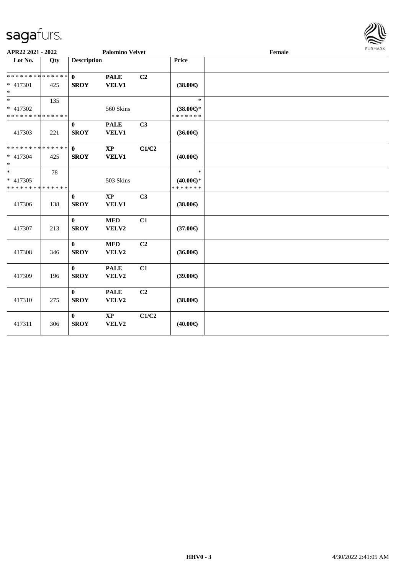

| APR22 2021 - 2022                                |     |                             | <b>Palomino Velvet</b>      |                |                                                   | Female | FURMARK |
|--------------------------------------------------|-----|-----------------------------|-----------------------------|----------------|---------------------------------------------------|--------|---------|
| Lot No.                                          | Qty | <b>Description</b>          |                             |                | Price                                             |        |         |
| * * * * * * * * * * * * * * *<br>* 417301<br>$*$ | 425 | $\mathbf{0}$<br><b>SROY</b> | <b>PALE</b><br><b>VELV1</b> | C2             | $(38.00\epsilon)$                                 |        |         |
| $*$<br>* 417302<br>* * * * * * * * * * * * * *   | 135 |                             | 560 Skins                   |                | $\ast$<br>$(38.00\epsilon)$ *<br>* * * * * * *    |        |         |
| 417303                                           | 221 | $\bf{0}$<br><b>SROY</b>     | <b>PALE</b><br>VELV1        | C3             | $(36.00\epsilon)$                                 |        |         |
| * * * * * * * * * * * * * * *<br>* 417304<br>$*$ | 425 | $\mathbf{0}$<br><b>SROY</b> | $\bold{XP}$<br><b>VELV1</b> | C1/C2          | $(40.00\epsilon)$                                 |        |         |
| $*$<br>$* 417305$<br>* * * * * * * * * * * * * * | 78  |                             | 503 Skins                   |                | $\ast$<br>$(40.00\varepsilon)$ *<br>* * * * * * * |        |         |
| 417306                                           | 138 | $\mathbf{0}$<br><b>SROY</b> | $\bold{XP}$<br><b>VELV1</b> | C3             | $(38.00\epsilon)$                                 |        |         |
| 417307                                           | 213 | $\mathbf{0}$<br><b>SROY</b> | $\bf MED$<br>VELV2          | C1             | $(37.00\epsilon)$                                 |        |         |
| 417308                                           | 346 | $\bf{0}$<br><b>SROY</b>     | <b>MED</b><br>VELV2         | C2             | $(36.00\epsilon)$                                 |        |         |
| 417309                                           | 196 | $\bf{0}$<br><b>SROY</b>     | <b>PALE</b><br>VELV2        | C1             | $(39.00\epsilon)$                                 |        |         |
| 417310                                           | 275 | $\bf{0}$<br><b>SROY</b>     | <b>PALE</b><br>VELV2        | C <sub>2</sub> | $(38.00\epsilon)$                                 |        |         |
| 417311                                           | 306 | $\bf{0}$<br><b>SROY</b>     | $\bold{XP}$<br>VELV2        | C1/C2          | $(40.00\epsilon)$                                 |        |         |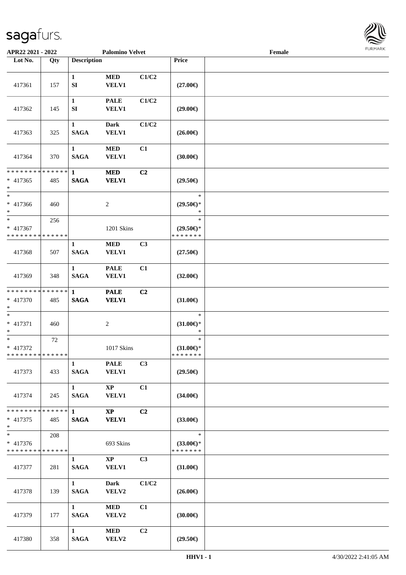

| APR22 2021 - 2022                                  |     |                             | <b>Palomino Velvet</b>                 |                |                                                | Female |  |
|----------------------------------------------------|-----|-----------------------------|----------------------------------------|----------------|------------------------------------------------|--------|--|
| Lot No.                                            | Qty | <b>Description</b>          |                                        |                | Price                                          |        |  |
| 417361                                             | 157 | $\mathbf{1}$<br>${\bf SI}$  | $\bf MED$<br><b>VELV1</b>              | C1/C2          | $(27.00\epsilon)$                              |        |  |
| 417362                                             | 145 | $\mathbf{1}$<br>${\bf SI}$  | <b>PALE</b><br><b>VELV1</b>            | C1/C2          | $(29.00\epsilon)$                              |        |  |
| 417363                                             | 325 | $\mathbf{1}$<br><b>SAGA</b> | <b>Dark</b><br><b>VELV1</b>            | C1/C2          | $(26.00\in)$                                   |        |  |
| 417364                                             | 370 | $\mathbf{1}$<br><b>SAGA</b> | $\bf MED$<br>VELV1                     | C1             | $(30.00\epsilon)$                              |        |  |
| ******** <mark>******</mark><br>$* 417365$<br>$*$  | 485 | $\mathbf{1}$<br><b>SAGA</b> | <b>MED</b><br><b>VELV1</b>             | C2             | $(29.50\epsilon)$                              |        |  |
| $*$<br>* 417366<br>$*$                             | 460 |                             | $\sqrt{2}$                             |                | $\ast$<br>$(29.50\epsilon)$ *<br>$\ast$        |        |  |
| $\ast$<br>* 417367<br>* * * * * * * * * * * * * *  | 256 |                             | 1201 Skins                             |                | $\ast$<br>$(29.50\epsilon)$ *<br>* * * * * * * |        |  |
| 417368                                             | 507 | $\mathbf{1}$<br><b>SAGA</b> | <b>MED</b><br><b>VELV1</b>             | C3             | $(27.50\epsilon)$                              |        |  |
| 417369                                             | 348 | $\mathbf{1}$<br><b>SAGA</b> | <b>PALE</b><br>VELV1                   | C1             | $(32.00\epsilon)$                              |        |  |
| * * * * * * * * * * * * * * *<br>* 417370<br>$*$   | 485 | $\mathbf{1}$<br><b>SAGA</b> | <b>PALE</b><br><b>VELV1</b>            | C2             | $(31.00\epsilon)$                              |        |  |
| $\ast$<br>* 417371<br>$*$                          | 460 |                             | $\sqrt{2}$                             |                | $\ast$<br>$(31.00\epsilon)$ *<br>$\ast$        |        |  |
| $\ast$<br>* 417372<br>* * * * * * * * * * * * * *  | 72  |                             | 1017 Skins                             |                | $\ast$<br>$(31.00\epsilon)$ *<br>* * * * * * * |        |  |
| 417373                                             | 433 | $\mathbf{1}$<br>SAGA        | <b>PALE</b><br><b>VELV1</b>            | C3             | $(29.50\epsilon)$                              |        |  |
| 417374                                             | 245 | $\mathbf{1}$<br><b>SAGA</b> | $\mathbf{X}\mathbf{P}$<br><b>VELV1</b> | C1             | $(34.00\epsilon)$                              |        |  |
| * * * * * * * * * * * * * * *<br>$* 417375$<br>$*$ | 485 | $\mathbf{1}$<br><b>SAGA</b> | $\bold{X}\bold{P}$<br><b>VELV1</b>     | C <sub>2</sub> | (33.00)                                        |        |  |
| * 417376<br>* * * * * * * * * * * * * *            | 208 |                             | 693 Skins                              |                | $\ast$<br>$(33.00\epsilon)$ *<br>* * * * * * * |        |  |
| 417377                                             | 281 | $\mathbf{1}$<br><b>SAGA</b> | $\mathbf{XP}$<br><b>VELV1</b>          | C3             | $(31.00\epsilon)$                              |        |  |
| 417378                                             | 139 | $\mathbf{1}$<br><b>SAGA</b> | <b>Dark</b><br>VELV2                   | C1/C2          | $(26.00\epsilon)$                              |        |  |
| 417379                                             | 177 | 1<br><b>SAGA</b>            | <b>MED</b><br>VELV2                    | C1             | $(30.00\epsilon)$                              |        |  |
| 417380                                             | 358 | $\mathbf{1}$<br><b>SAGA</b> | <b>MED</b><br>VELV2                    | C <sub>2</sub> | $(29.50\epsilon)$                              |        |  |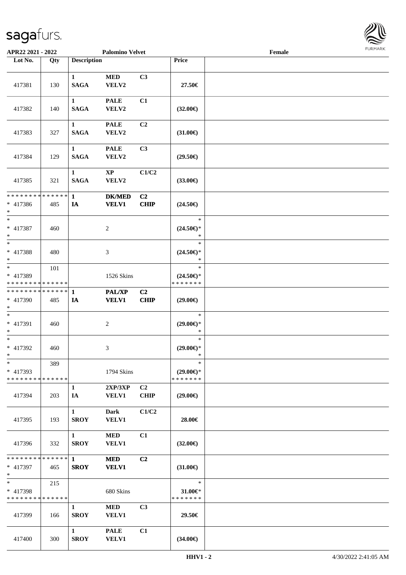

| APR22 2021 - 2022                                    |     |                                       | <b>Palomino Velvet</b>          |                               |                                                | Female |  |
|------------------------------------------------------|-----|---------------------------------------|---------------------------------|-------------------------------|------------------------------------------------|--------|--|
| Lot No.                                              | Qty | <b>Description</b>                    |                                 |                               | Price                                          |        |  |
| 417381                                               | 130 | $\mathbf{1}$<br><b>SAGA</b>           | $\bf MED$<br>VELV2              | C3                            | 27.50€                                         |        |  |
| 417382                                               | 140 | $\mathbf{1}$<br><b>SAGA</b>           | <b>PALE</b><br>VELV2            | C1                            | $(32.00\epsilon)$                              |        |  |
| 417383                                               | 327 | $\mathbf{1}$<br><b>SAGA</b>           | <b>PALE</b><br>VELV2            | C <sub>2</sub>                | $(31.00\epsilon)$                              |        |  |
| 417384                                               | 129 | $\mathbf{1}$<br><b>SAGA</b>           | <b>PALE</b><br>VELV2            | C3                            | $(29.50\epsilon)$                              |        |  |
| 417385                                               | 321 | $\mathbf{1}$<br><b>SAGA</b>           | $\mathbf{X}\mathbf{P}$<br>VELV2 | C1/C2                         | $(33.00\epsilon)$                              |        |  |
| * * * * * * * * * * * * * *<br>$* 417386$<br>$\ast$  | 485 | $\mathbf{1}$<br>IA                    | <b>DK/MED</b><br><b>VELV1</b>   | C2<br>CHIP                    | $(24.50\epsilon)$                              |        |  |
| $\ast$<br>* 417387<br>$\ast$                         | 460 |                                       | $\boldsymbol{2}$                |                               | $\ast$<br>$(24.50\epsilon)$ *<br>$\ast$        |        |  |
| $\ast$<br>* 417388<br>$\ast$                         | 480 |                                       | $\ensuremath{\mathfrak{Z}}$     |                               | $\ast$<br>$(24.50\epsilon)$ *<br>$\ast$        |        |  |
| $_{\ast}$<br>* 417389<br>* * * * * * * * * * * * * * | 101 |                                       | 1526 Skins                      |                               | $\ast$<br>$(24.50\epsilon)$ *<br>* * * * * * * |        |  |
| **************<br>* 417390<br>$\ast$                 | 485 | 1<br>IA                               | <b>PAL/XP</b><br><b>VELV1</b>   | C <sub>2</sub><br>CHIP        | $(29.00\epsilon)$                              |        |  |
| $\ast$<br>* 417391<br>$\ast$                         | 460 |                                       | $\overline{c}$                  |                               | $\ast$<br>$(29.00\epsilon)$ *<br>$\ast$        |        |  |
| $\ast$<br>$* 417392$<br>$*$                          | 460 |                                       | 3                               |                               | $\ast$<br>$(29.00\epsilon)$ *<br>$\ast$        |        |  |
| $*$<br>$* 417393$<br>* * * * * * * * * * * * * *     | 389 |                                       | 1794 Skins                      |                               | $\ast$<br>$(29.00\epsilon)$ *<br>* * * * * * * |        |  |
| 417394                                               | 203 | $\mathbf{1}$<br>IA                    | 2XP/3XP<br><b>VELV1</b>         | C <sub>2</sub><br><b>CHIP</b> | $(29.00\epsilon)$                              |        |  |
| 417395                                               | 193 | $\mathbf{1}$<br><b>SROY</b>           | Dark<br><b>VELV1</b>            | C1/C2                         | 28.00€                                         |        |  |
| 417396                                               | 332 | $1 \quad \blacksquare$<br><b>SROY</b> | <b>MED</b><br>VELV1             | C1                            | $(32.00\epsilon)$                              |        |  |
| * 417397<br>$\ast$                                   | 465 | <b>SROY</b>                           | <b>MED</b><br><b>VELV1</b>      | C2                            | $(31.00\epsilon)$                              |        |  |
| $\ast$<br>* 417398<br>* * * * * * * * * * * * * *    | 215 |                                       | 680 Skins                       |                               | $\ast$<br>31.00€*<br>* * * * * * *             |        |  |
| 417399                                               | 166 | $\mathbf{1}$<br><b>SROY</b>           | MED<br><b>VELV1</b>             | C <sub>3</sub>                | 29.50€                                         |        |  |
| 417400                                               | 300 | $\mathbf{1}$<br><b>SROY</b>           | <b>PALE</b><br><b>VELV1</b>     | C1                            | $(34.00\epsilon)$                              |        |  |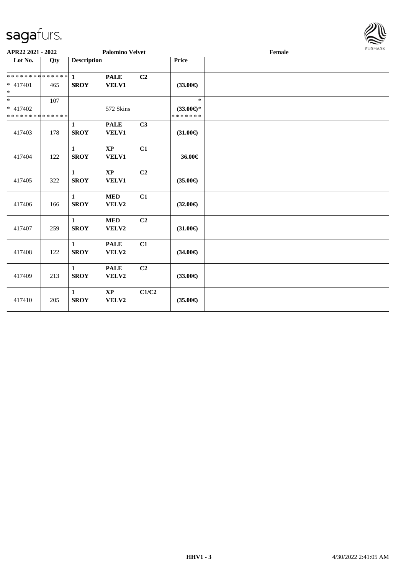

| APR22 2021 - 2022                                 |     |                             | <b>Palomino Velvet</b>          |                |                                                | Female | FURMARK |
|---------------------------------------------------|-----|-----------------------------|---------------------------------|----------------|------------------------------------------------|--------|---------|
| Lot No.                                           | Qty | <b>Description</b>          |                                 |                | Price                                          |        |         |
| ******** <mark>******</mark><br>$* 417401$<br>$*$ | 465 | $\mathbf{1}$<br><b>SROY</b> | <b>PALE</b><br><b>VELV1</b>     | C2             | $(33.00\epsilon)$                              |        |         |
| $*$<br>* 417402<br>* * * * * * * * * * * * * *    | 107 |                             | 572 Skins                       |                | $\ast$<br>$(33.00\epsilon)$ *<br>* * * * * * * |        |         |
| 417403                                            | 178 | $\mathbf{1}$<br><b>SROY</b> | <b>PALE</b><br>VELV1            | C3             | $(31.00\epsilon)$                              |        |         |
| 417404                                            | 122 | $\mathbf{1}$<br><b>SROY</b> | $\mathbf{X}\mathbf{P}$<br>VELV1 | C1             | 36.00€                                         |        |         |
| 417405                                            | 322 | $\mathbf{1}$<br><b>SROY</b> | $\mathbf{X}\mathbf{P}$<br>VELV1 | C <sub>2</sub> | $(35.00\epsilon)$                              |        |         |
| 417406                                            | 166 | $\mathbf{1}$<br><b>SROY</b> | <b>MED</b><br>VELV2             | C1             | $(32.00\epsilon)$                              |        |         |
| 417407                                            | 259 | $\mathbf{1}$<br><b>SROY</b> | <b>MED</b><br>VELV2             | C <sub>2</sub> | $(31.00\epsilon)$                              |        |         |
| 417408                                            | 122 | $\mathbf{1}$<br><b>SROY</b> | <b>PALE</b><br>VELV2            | C1             | $(34.00\epsilon)$                              |        |         |
| 417409                                            | 213 | $\mathbf{1}$<br><b>SROY</b> | <b>PALE</b><br>VELV2            | C2             | $(33.00\epsilon)$                              |        |         |
| 417410                                            | 205 | $\mathbf{1}$<br><b>SROY</b> | $\mathbf{XP}$<br>VELV2          | C1/C2          | $(35.00\epsilon)$                              |        |         |
|                                                   |     |                             |                                 |                |                                                |        |         |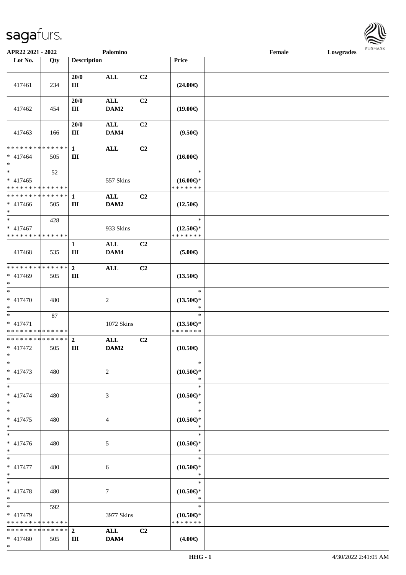\*

| APR22 2021 - 2022                                                           |                    |                     | Palomino               |                |                                                | Female | Lowgrades |  |
|-----------------------------------------------------------------------------|--------------------|---------------------|------------------------|----------------|------------------------------------------------|--------|-----------|--|
| Lot No.                                                                     | Qty                | <b>Description</b>  |                        |                | Price                                          |        |           |  |
|                                                                             |                    | 20/0                | <b>ALL</b>             | C2             |                                                |        |           |  |
| 417461                                                                      | 234                | III<br>20/0         | $\mathbf{ALL}$         | C2             | $(24.00\epsilon)$                              |        |           |  |
| 417462                                                                      | 454                | Ш                   | DAM2                   |                | $(19.00\epsilon)$                              |        |           |  |
| 417463                                                                      | 166                | 20/0<br>Ш           | $\mathbf{ALL}$<br>DAM4 | C2             | $(9.50\epsilon)$                               |        |           |  |
| * * * * * * * * * * * * * * <mark>*</mark><br>$* 417464$<br>$\ast$          | 505                | $\mathbf{1}$<br>Ш   | <b>ALL</b>             | C2             | $(16.00\epsilon)$                              |        |           |  |
| $\ddot{x}$<br>* 417465<br>* * * * * * * * <mark>* * * * * * *</mark>        | 52                 |                     | 557 Skins              |                | $\ast$<br>$(16.00\epsilon)$ *<br>* * * * * * * |        |           |  |
| * * * * * * * * <mark>* * * * * * *</mark><br>$* 417466$<br>$\ast$          | 505                | $\mathbf{1}$<br>Ш   | <b>ALL</b><br>DAM2     | C2             | $(12.50\epsilon)$                              |        |           |  |
| $\overline{\ast}$<br>$* 417467$<br>* * * * * * * * <mark>* * * * * *</mark> | 428                |                     | 933 Skins              |                | $\ast$<br>$(12.50\epsilon)$ *<br>* * * * * * * |        |           |  |
| 417468                                                                      | 535                | $\mathbf{1}$<br>Ш   | $\mathbf{ALL}$<br>DAM4 | C2             | $(5.00\epsilon)$                               |        |           |  |
| * * * * * * * * <mark>* * * * * * *</mark><br>* 417469<br>$\ast$            | 505                | $\overline{2}$<br>Ш | <b>ALL</b>             | C2             | $(13.50\epsilon)$                              |        |           |  |
| $\overline{\ast}$<br>* 417470<br>$*$                                        | 480                |                     | 2                      |                | $\ast$<br>$(13.50\epsilon)$ *<br>$\ast$        |        |           |  |
| $* 417471$<br>* * * * * * * * * * * * * *                                   | 87                 |                     | 1072 Skins             |                | $\ast$<br>$(13.50\epsilon)$ *<br>* * * * * * * |        |           |  |
| * * * * * * * * <mark>* * * * * *</mark><br>* 417472<br>$\ast$              | 505                | $\overline{2}$<br>Ш | ALL<br>DAM2            | C2             | $(10.50\epsilon)$                              |        |           |  |
| $\ast$<br>$* 417473$<br>$*$                                                 | 480                |                     | 2                      |                | $\ast$<br>$(10.50\epsilon)$ *<br>$\ast$        |        |           |  |
| $*$ $-$<br>* 417474<br>$*$                                                  | 480                |                     | 3                      |                | $\ast$<br>$(10.50\epsilon)$ *<br>$\ast$        |        |           |  |
| $*$<br>$* 417475$<br>$*$                                                    | 480                |                     | 4                      |                | $\ast$<br>$(10.50\epsilon)$ *<br>$\ast$        |        |           |  |
| $\overline{\ast}$<br>* 417476<br>$*$                                        | 480                |                     | 5                      |                | $\ast$<br>$(10.50\epsilon)$ *<br>$\ast$        |        |           |  |
| $*$<br>* 417477<br>$*$                                                      | 480                |                     | 6                      |                | $\ast$<br>$(10.50\epsilon)$ *<br>$\ast$        |        |           |  |
| $\ast$<br>* 417478<br>$\ast$                                                | 480                |                     | $7\phantom{.0}$        |                | $\ast$<br>$(10.50\epsilon)$ *<br>$\ast$        |        |           |  |
| $*$ and $*$<br>* 417479<br>* * * * * * * *                                  | 592<br>* * * * * * |                     | 3977 Skins             |                | $\ast$<br>$(10.50\epsilon)$ *<br>* * * * * * * |        |           |  |
| * * * * * * * * * * * * * * <mark>*</mark><br>$* 417480$                    | 505                | $\overline{2}$<br>Ш | <b>ALL</b><br>DAM4     | C <sub>2</sub> | $(4.00\epsilon)$                               |        |           |  |